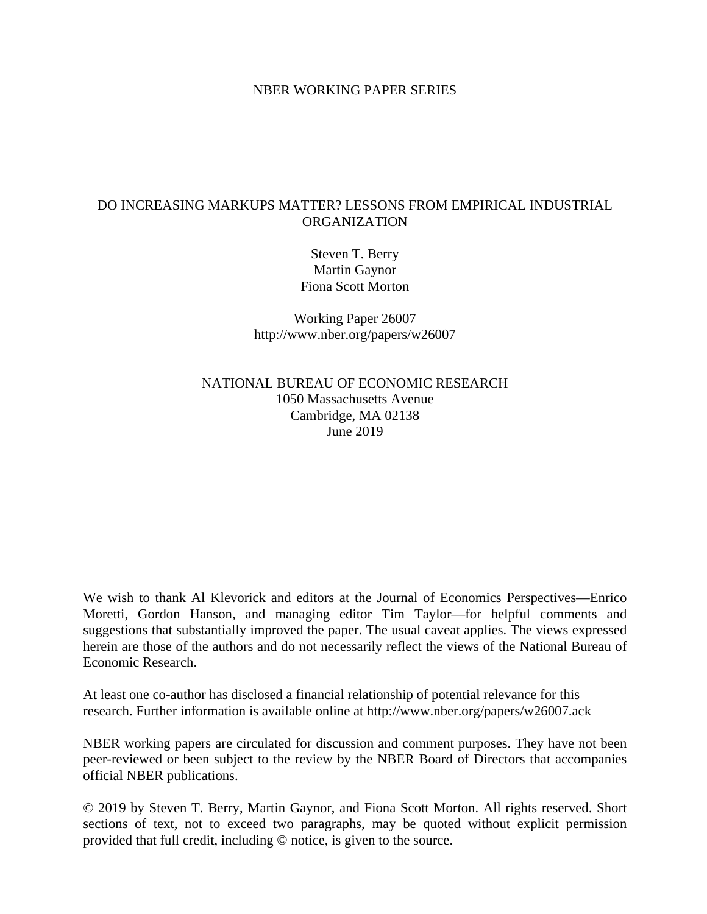#### NBER WORKING PAPER SERIES

## DO INCREASING MARKUPS MATTER? LESSONS FROM EMPIRICAL INDUSTRIAL ORGANIZATION

Steven T. Berry Martin Gaynor Fiona Scott Morton

Working Paper 26007 http://www.nber.org/papers/w26007

NATIONAL BUREAU OF ECONOMIC RESEARCH 1050 Massachusetts Avenue Cambridge, MA 02138 June 2019

We wish to thank Al Klevorick and editors at the Journal of Economics Perspectives—Enrico Moretti, Gordon Hanson, and managing editor Tim Taylor—for helpful comments and suggestions that substantially improved the paper. The usual caveat applies. The views expressed herein are those of the authors and do not necessarily reflect the views of the National Bureau of Economic Research.

At least one co-author has disclosed a financial relationship of potential relevance for this research. Further information is available online at http://www.nber.org/papers/w26007.ack

NBER working papers are circulated for discussion and comment purposes. They have not been peer-reviewed or been subject to the review by the NBER Board of Directors that accompanies official NBER publications.

© 2019 by Steven T. Berry, Martin Gaynor, and Fiona Scott Morton. All rights reserved. Short sections of text, not to exceed two paragraphs, may be quoted without explicit permission provided that full credit, including © notice, is given to the source.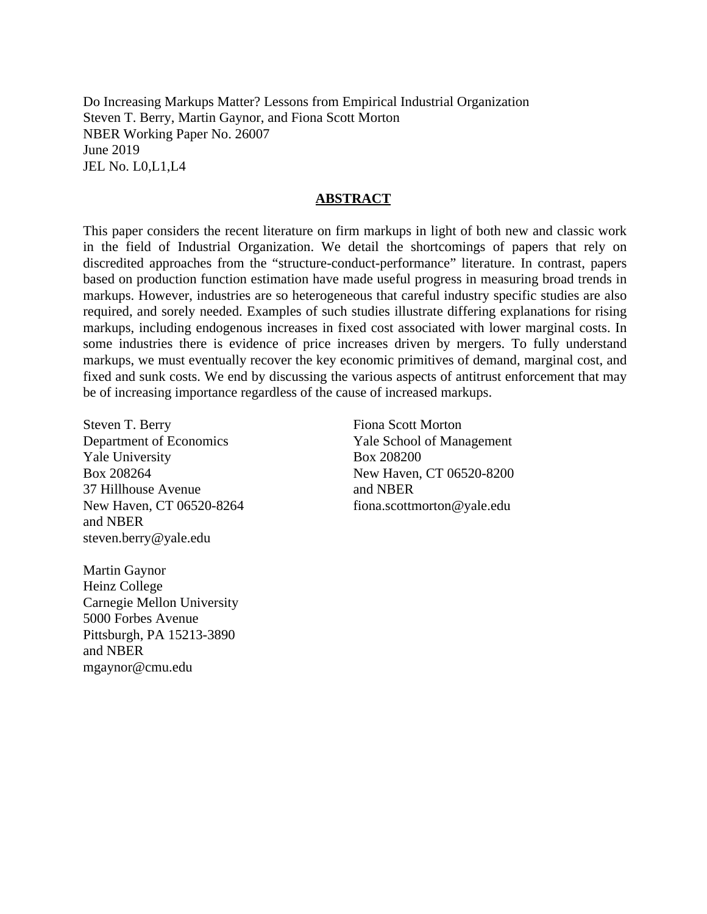Do Increasing Markups Matter? Lessons from Empirical Industrial Organization Steven T. Berry, Martin Gaynor, and Fiona Scott Morton NBER Working Paper No. 26007 June 2019 JEL No. L0,L1,L4

#### **ABSTRACT**

This paper considers the recent literature on firm markups in light of both new and classic work in the field of Industrial Organization. We detail the shortcomings of papers that rely on discredited approaches from the "structure-conduct-performance" literature. In contrast, papers based on production function estimation have made useful progress in measuring broad trends in markups. However, industries are so heterogeneous that careful industry specific studies are also required, and sorely needed. Examples of such studies illustrate differing explanations for rising markups, including endogenous increases in fixed cost associated with lower marginal costs. In some industries there is evidence of price increases driven by mergers. To fully understand markups, we must eventually recover the key economic primitives of demand, marginal cost, and fixed and sunk costs. We end by discussing the various aspects of antitrust enforcement that may be of increasing importance regardless of the cause of increased markups.

Steven T. Berry Department of Economics Yale University Box 208264 37 Hillhouse Avenue New Haven, CT 06520-8264 and NBER steven.berry@yale.edu

Martin Gaynor Heinz College Carnegie Mellon University 5000 Forbes Avenue Pittsburgh, PA 15213-3890 and NBER mgaynor@cmu.edu

Fiona Scott Morton Yale School of Management Box 208200 New Haven, CT 06520-8200 and NBER fiona.scottmorton@yale.edu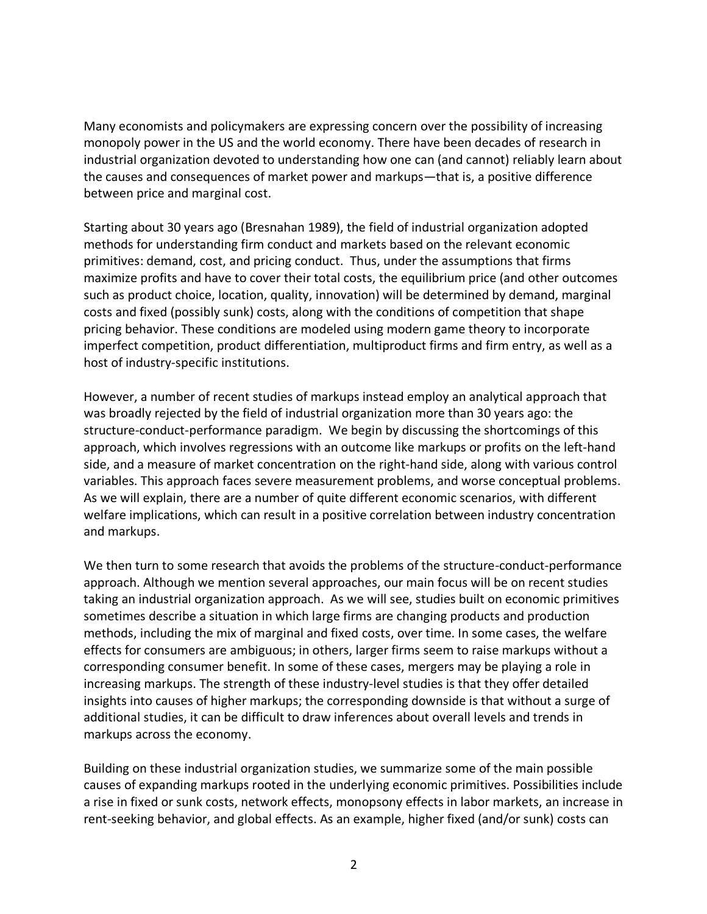Many economists and policymakers are expressing concern over the possibility of increasing monopoly power in the US and the world economy. There have been decades of research in industrial organization devoted to understanding how one can (and cannot) reliably learn about the causes and consequences of market power and markups—that is, a positive difference between price and marginal cost.

Starting about 30 years ago (Bresnahan 1989), the field of industrial organization adopted methods for understanding firm conduct and markets based on the relevant economic primitives: demand, cost, and pricing conduct. Thus, under the assumptions that firms maximize profits and have to cover their total costs, the equilibrium price (and other outcomes such as product choice, location, quality, innovation) will be determined by demand, marginal costs and fixed (possibly sunk) costs, along with the conditions of competition that shape pricing behavior. These conditions are modeled using modern game theory to incorporate imperfect competition, product differentiation, multiproduct firms and firm entry, as well as a host of industry-specific institutions.

However, a number of recent studies of markups instead employ an analytical approach that was broadly rejected by the field of industrial organization more than 30 years ago: the structure-conduct-performance paradigm. We begin by discussing the shortcomings of this approach, which involves regressions with an outcome like markups or profits on the left-hand side, and a measure of market concentration on the right-hand side, along with various control variables. This approach faces severe measurement problems, and worse conceptual problems. As we will explain, there are a number of quite different economic scenarios, with different welfare implications, which can result in a positive correlation between industry concentration and markups.

We then turn to some research that avoids the problems of the structure-conduct-performance approach. Although we mention several approaches, our main focus will be on recent studies taking an industrial organization approach. As we will see, studies built on economic primitives sometimes describe a situation in which large firms are changing products and production methods, including the mix of marginal and fixed costs, over time. In some cases, the welfare effects for consumers are ambiguous; in others, larger firms seem to raise markups without a corresponding consumer benefit. In some of these cases, mergers may be playing a role in increasing markups. The strength of these industry-level studies is that they offer detailed insights into causes of higher markups; the corresponding downside is that without a surge of additional studies, it can be difficult to draw inferences about overall levels and trends in markups across the economy.

Building on these industrial organization studies, we summarize some of the main possible causes of expanding markups rooted in the underlying economic primitives. Possibilities include a rise in fixed or sunk costs, network effects, monopsony effects in labor markets, an increase in rent-seeking behavior, and global effects. As an example, higher fixed (and/or sunk) costs can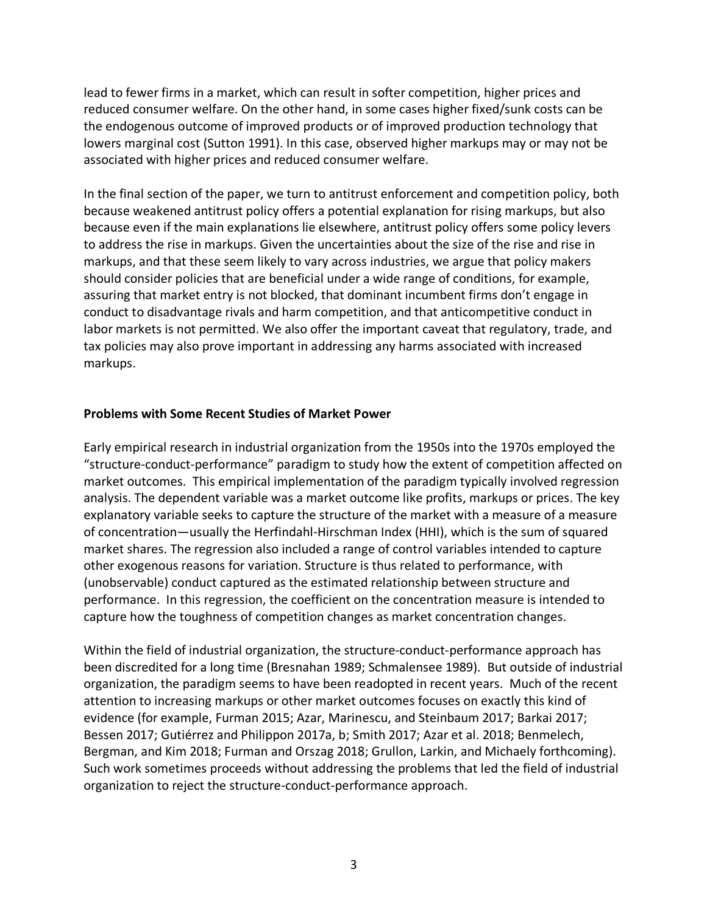lead to fewer firms in a market, which can result in softer competition, higher prices and reduced consumer welfare. On the other hand, in some cases higher fixed/sunk costs can be the endogenous outcome of improved products or of improved production technology that lowers marginal cost (Sutton 1991). In this case, observed higher markups may or may not be associated with higher prices and reduced consumer welfare.

In the final section of the paper, we turn to antitrust enforcement and competition policy, both because weakened antitrust policy offers a potential explanation for rising markups, but also because even if the main explanations lie elsewhere, antitrust policy offers some policy levers to address the rise in markups. Given the uncertainties about the size of the rise and rise in markups, and that these seem likely to vary across industries, we argue that policy makers should consider policies that are beneficial under a wide range of conditions, for example, assuring that market entry is not blocked, that dominant incumbent firms don't engage in conduct to disadvantage rivals and harm competition, and that anticompetitive conduct in labor markets is not permitted. We also offer the important caveat that regulatory, trade, and tax policies may also prove important in addressing any harms associated with increased markups.

#### **Problems with Some Recent Studies of Market Power**

Early empirical research in industrial organization from the 1950s into the 1970s employed the "structure-conduct-performance" paradigm to study how the extent of competition affected on market outcomes. This empirical implementation of the paradigm typically involved regression analysis. The dependent variable was a market outcome like profits, markups or prices. The key explanatory variable seeks to capture the structure of the market with a measure of a measure of concentration—usually the Herfindahl-Hirschman Index (HHI), which is the sum of squared market shares. The regression also included a range of control variables intended to capture other exogenous reasons for variation. Structure is thus related to performance, with (unobservable) conduct captured as the estimated relationship between structure and performance. In this regression, the coefficient on the concentration measure is intended to capture how the toughness of competition changes as market concentration changes.

Within the field of industrial organization, the structure-conduct-performance approach has been discredited for a long time (Bresnahan 1989; Schmalensee 1989). But outside of industrial organization, the paradigm seems to have been readopted in recent years. Much of the recent attention to increasing markups or other market outcomes focuses on exactly this kind of evidence (for example, Furman 2015; Azar, Marinescu, and Steinbaum 2017; Barkai 2017; Bessen 2017; Gutiérrez and Philippon 2017a, b; Smith 2017; Azar et al. 2018; Benmelech, Bergman, and Kim 2018; Furman and Orszag 2018; Grullon, Larkin, and Michaely forthcoming). Such work sometimes proceeds without addressing the problems that led the field of industrial organization to reject the structure-conduct-performance approach.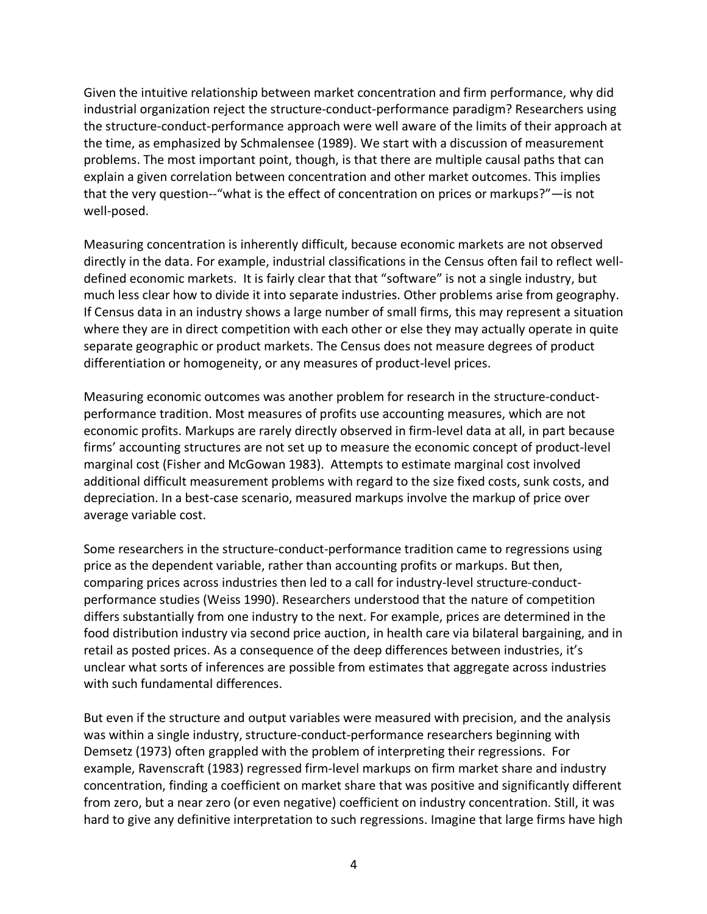Given the intuitive relationship between market concentration and firm performance, why did industrial organization reject the structure-conduct-performance paradigm? Researchers using the structure-conduct-performance approach were well aware of the limits of their approach at the time, as emphasized by Schmalensee (1989). We start with a discussion of measurement problems. The most important point, though, is that there are multiple causal paths that can explain a given correlation between concentration and other market outcomes. This implies that the very question--"what is the effect of concentration on prices or markups?"—is not well-posed.

Measuring concentration is inherently difficult, because economic markets are not observed directly in the data. For example, industrial classifications in the Census often fail to reflect welldefined economic markets. It is fairly clear that that "software" is not a single industry, but much less clear how to divide it into separate industries. Other problems arise from geography. If Census data in an industry shows a large number of small firms, this may represent a situation where they are in direct competition with each other or else they may actually operate in quite separate geographic or product markets. The Census does not measure degrees of product differentiation or homogeneity, or any measures of product-level prices.

Measuring economic outcomes was another problem for research in the structure-conductperformance tradition. Most measures of profits use accounting measures, which are not economic profits. Markups are rarely directly observed in firm-level data at all, in part because firms' accounting structures are not set up to measure the economic concept of product-level marginal cost (Fisher and McGowan 1983). Attempts to estimate marginal cost involved additional difficult measurement problems with regard to the size fixed costs, sunk costs, and depreciation. In a best-case scenario, measured markups involve the markup of price over average variable cost.

Some researchers in the structure-conduct-performance tradition came to regressions using price as the dependent variable, rather than accounting profits or markups. But then, comparing prices across industries then led to a call for industry-level structure-conductperformance studies (Weiss 1990). Researchers understood that the nature of competition differs substantially from one industry to the next. For example, prices are determined in the food distribution industry via second price auction, in health care via bilateral bargaining, and in retail as posted prices. As a consequence of the deep differences between industries, it's unclear what sorts of inferences are possible from estimates that aggregate across industries with such fundamental differences.

But even if the structure and output variables were measured with precision, and the analysis was within a single industry, structure-conduct-performance researchers beginning with Demsetz (1973) often grappled with the problem of interpreting their regressions. For example, Ravenscraft (1983) regressed firm-level markups on firm market share and industry concentration, finding a coefficient on market share that was positive and significantly different from zero, but a near zero (or even negative) coefficient on industry concentration. Still, it was hard to give any definitive interpretation to such regressions. Imagine that large firms have high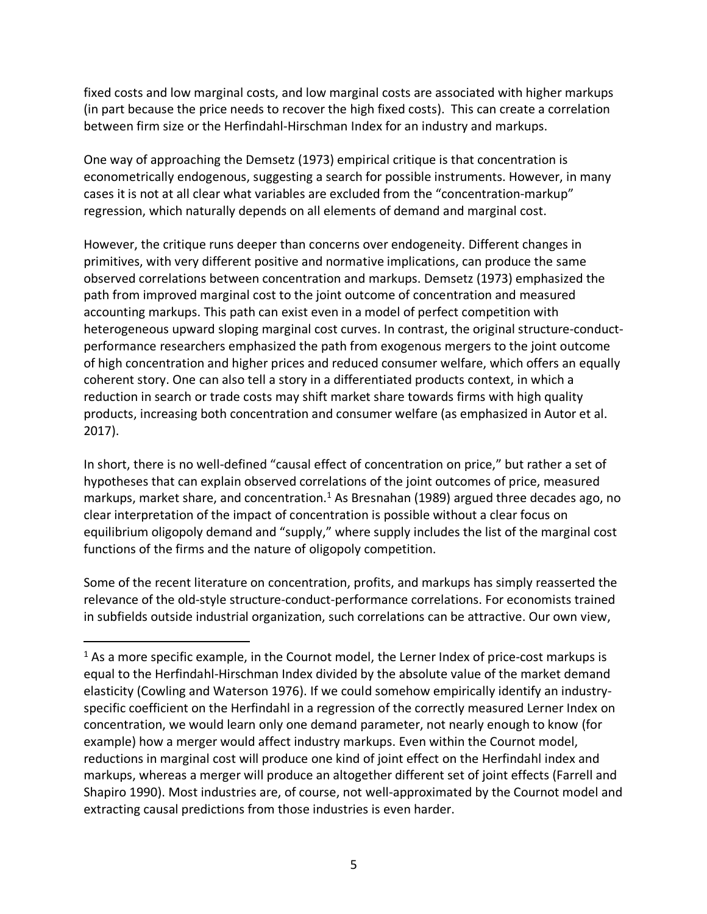fixed costs and low marginal costs, and low marginal costs are associated with higher markups (in part because the price needs to recover the high fixed costs). This can create a correlation between firm size or the Herfindahl-Hirschman Index for an industry and markups.

One way of approaching the Demsetz (1973) empirical critique is that concentration is econometrically endogenous, suggesting a search for possible instruments. However, in many cases it is not at all clear what variables are excluded from the "concentration-markup" regression, which naturally depends on all elements of demand and marginal cost.

However, the critique runs deeper than concerns over endogeneity. Different changes in primitives, with very different positive and normative implications, can produce the same observed correlations between concentration and markups. Demsetz (1973) emphasized the path from improved marginal cost to the joint outcome of concentration and measured accounting markups. This path can exist even in a model of perfect competition with heterogeneous upward sloping marginal cost curves. In contrast, the original structure-conductperformance researchers emphasized the path from exogenous mergers to the joint outcome of high concentration and higher prices and reduced consumer welfare, which offers an equally coherent story. One can also tell a story in a differentiated products context, in which a reduction in search or trade costs may shift market share towards firms with high quality products, increasing both concentration and consumer welfare (as emphasized in Autor et al. 2017).

In short, there is no well-defined "causal effect of concentration on price," but rather a set of hypotheses that can explain observed correlations of the joint outcomes of price, measured markups, market share, and concentration.<sup>1</sup> As Bresnahan (1989) argued three decades ago, no clear interpretation of the impact of concentration is possible without a clear focus on equilibrium oligopoly demand and "supply," where supply includes the list of the marginal cost functions of the firms and the nature of oligopoly competition.

Some of the recent literature on concentration, profits, and markups has simply reasserted the relevance of the old-style structure-conduct-performance correlations. For economists trained in subfields outside industrial organization, such correlations can be attractive. Our own view,

 $<sup>1</sup>$  As a more specific example, in the Cournot model, the Lerner Index of price-cost markups is</sup> equal to the Herfindahl-Hirschman Index divided by the absolute value of the market demand elasticity (Cowling and Waterson 1976). If we could somehow empirically identify an industryspecific coefficient on the Herfindahl in a regression of the correctly measured Lerner Index on concentration, we would learn only one demand parameter, not nearly enough to know (for example) how a merger would affect industry markups. Even within the Cournot model, reductions in marginal cost will produce one kind of joint effect on the Herfindahl index and markups, whereas a merger will produce an altogether different set of joint effects (Farrell and Shapiro 1990). Most industries are, of course, not well-approximated by the Cournot model and extracting causal predictions from those industries is even harder.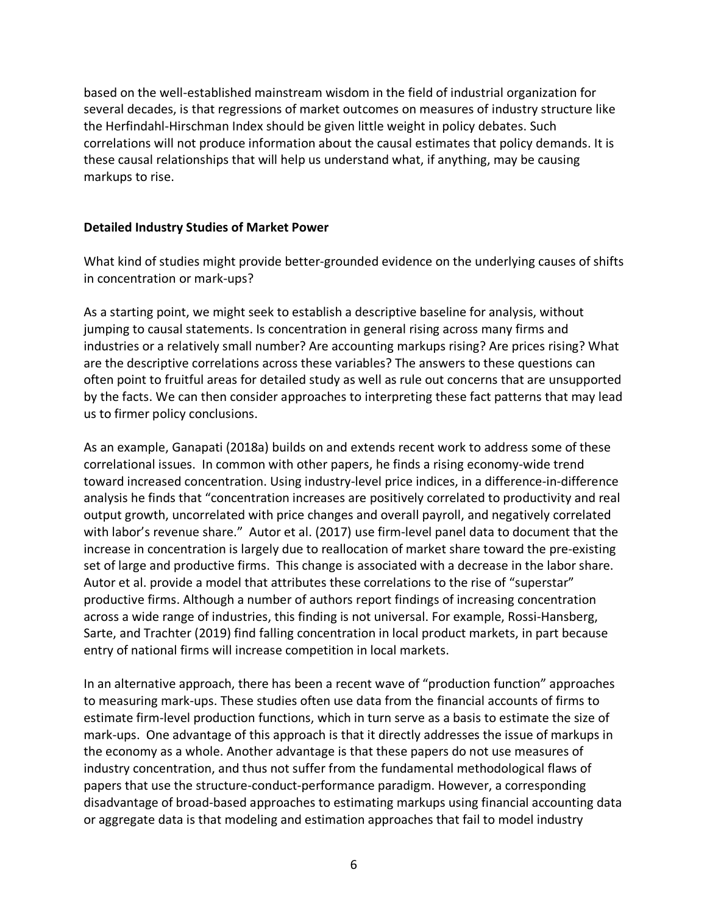based on the well-established mainstream wisdom in the field of industrial organization for several decades, is that regressions of market outcomes on measures of industry structure like the Herfindahl-Hirschman Index should be given little weight in policy debates. Such correlations will not produce information about the causal estimates that policy demands. It is these causal relationships that will help us understand what, if anything, may be causing markups to rise.

### **Detailed Industry Studies of Market Power**

What kind of studies might provide better-grounded evidence on the underlying causes of shifts in concentration or mark-ups?

As a starting point, we might seek to establish a descriptive baseline for analysis, without jumping to causal statements. Is concentration in general rising across many firms and industries or a relatively small number? Are accounting markups rising? Are prices rising? What are the descriptive correlations across these variables? The answers to these questions can often point to fruitful areas for detailed study as well as rule out concerns that are unsupported by the facts. We can then consider approaches to interpreting these fact patterns that may lead us to firmer policy conclusions.

As an example, Ganapati (2018a) builds on and extends recent work to address some of these correlational issues. In common with other papers, he finds a rising economy-wide trend toward increased concentration. Using industry-level price indices, in a difference-in-difference analysis he finds that "concentration increases are positively correlated to productivity and real output growth, uncorrelated with price changes and overall payroll, and negatively correlated with labor's revenue share." Autor et al. (2017) use firm-level panel data to document that the increase in concentration is largely due to reallocation of market share toward the pre-existing set of large and productive firms. This change is associated with a decrease in the labor share. Autor et al. provide a model that attributes these correlations to the rise of "superstar" productive firms. Although a number of authors report findings of increasing concentration across a wide range of industries, this finding is not universal. For example, Rossi-Hansberg, Sarte, and Trachter (2019) find falling concentration in local product markets, in part because entry of national firms will increase competition in local markets.

In an alternative approach, there has been a recent wave of "production function" approaches to measuring mark-ups. These studies often use data from the financial accounts of firms to estimate firm-level production functions, which in turn serve as a basis to estimate the size of mark-ups. One advantage of this approach is that it directly addresses the issue of markups in the economy as a whole. Another advantage is that these papers do not use measures of industry concentration, and thus not suffer from the fundamental methodological flaws of papers that use the structure-conduct-performance paradigm. However, a corresponding disadvantage of broad-based approaches to estimating markups using financial accounting data or aggregate data is that modeling and estimation approaches that fail to model industry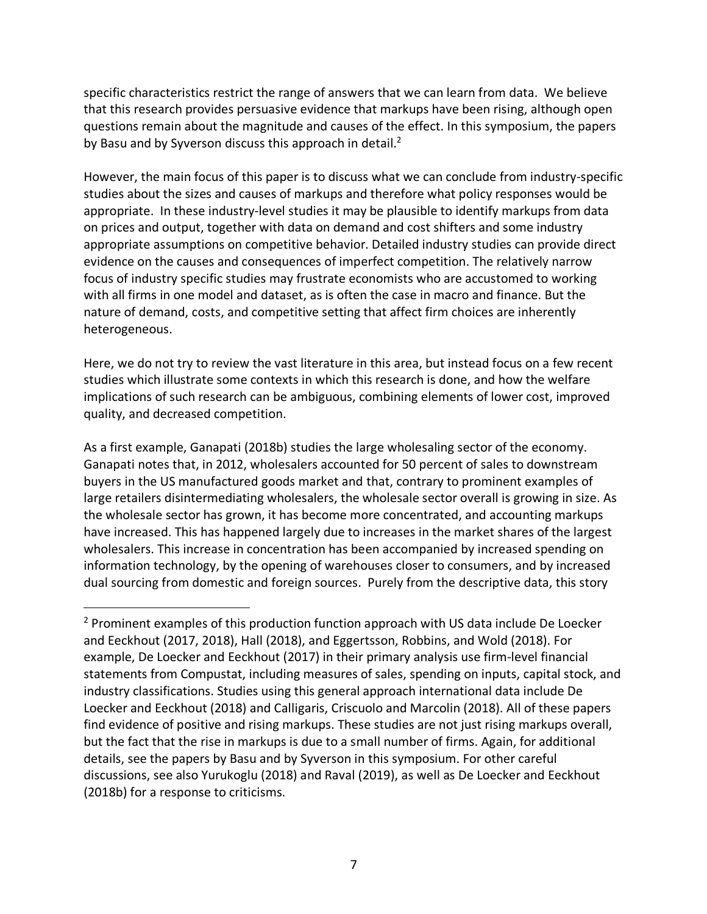specific characteristics restrict the range of answers that we can learn from data. We believe that this research provides persuasive evidence that markups have been rising, although open questions remain about the magnitude and causes of the effect. In this symposium, the papers by Basu and by Syverson discuss this approach in detail. $2<sup>2</sup>$ 

However, the main focus of this paper is to discuss what we can conclude from industry-specific studies about the sizes and causes of markups and therefore what policy responses would be appropriate. In these industry-level studies it may be plausible to identify markups from data on prices and output, together with data on demand and cost shifters and some industry appropriate assumptions on competitive behavior. Detailed industry studies can provide direct evidence on the causes and consequences of imperfect competition. The relatively narrow focus of industry specific studies may frustrate economists who are accustomed to working with all firms in one model and dataset, as is often the case in macro and finance. But the nature of demand, costs, and competitive setting that affect firm choices are inherently heterogeneous.

Here, we do not try to review the vast literature in this area, but instead focus on a few recent studies which illustrate some contexts in which this research is done, and how the welfare implications of such research can be ambiguous, combining elements of lower cost, improved quality, and decreased competition.

As a first example, Ganapati (2018b) studies the large wholesaling sector of the economy. Ganapati notes that, in 2012, wholesalers accounted for 50 percent of sales to downstream buyers in the US manufactured goods market and that, contrary to prominent examples of large retailers disintermediating wholesalers, the wholesale sector overall is growing in size. As the wholesale sector has grown, it has become more concentrated, and accounting markups have increased. This has happened largely due to increases in the market shares of the largest wholesalers. This increase in concentration has been accompanied by increased spending on information technology, by the opening of warehouses closer to consumers, and by increased dual sourcing from domestic and foreign sources. Purely from the descriptive data, this story

 $2$  Prominent examples of this production function approach with US data include De Loecker and Eeckhout (2017, 2018), Hall (2018), and Eggertsson, Robbins, and Wold (2018). For example, De Loecker and Eeckhout (2017) in their primary analysis use firm-level financial statements from Compustat, including measures of sales, spending on inputs, capital stock, and industry classifications. Studies using this general approach international data include De Loecker and Eeckhout (2018) and Calligaris, Criscuolo and Marcolin (2018). All of these papers find evidence of positive and rising markups. These studies are not just rising markups overall, but the fact that the rise in markups is due to a small number of firms. Again, for additional details, see the papers by Basu and by Syverson in this symposium. For other careful discussions, see also Yurukoglu (2018) and Raval (2019), as well as De Loecker and Eeckhout (2018b) for a response to criticisms.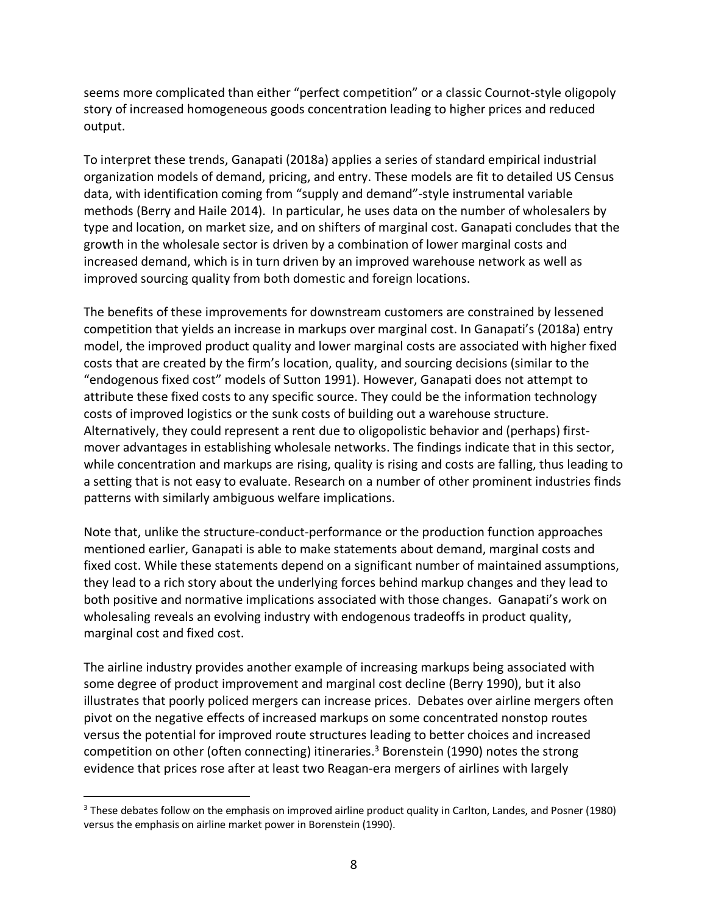seems more complicated than either "perfect competition" or a classic Cournot-style oligopoly story of increased homogeneous goods concentration leading to higher prices and reduced output.

To interpret these trends, Ganapati (2018a) applies a series of standard empirical industrial organization models of demand, pricing, and entry. These models are fit to detailed US Census data, with identification coming from "supply and demand"-style instrumental variable methods (Berry and Haile 2014). In particular, he uses data on the number of wholesalers by type and location, on market size, and on shifters of marginal cost. Ganapati concludes that the growth in the wholesale sector is driven by a combination of lower marginal costs and increased demand, which is in turn driven by an improved warehouse network as well as improved sourcing quality from both domestic and foreign locations.

The benefits of these improvements for downstream customers are constrained by lessened competition that yields an increase in markups over marginal cost. In Ganapati's (2018a) entry model, the improved product quality and lower marginal costs are associated with higher fixed costs that are created by the firm's location, quality, and sourcing decisions (similar to the "endogenous fixed cost" models of Sutton 1991). However, Ganapati does not attempt to attribute these fixed costs to any specific source. They could be the information technology costs of improved logistics or the sunk costs of building out a warehouse structure. Alternatively, they could represent a rent due to oligopolistic behavior and (perhaps) firstmover advantages in establishing wholesale networks. The findings indicate that in this sector, while concentration and markups are rising, quality is rising and costs are falling, thus leading to a setting that is not easy to evaluate. Research on a number of other prominent industries finds patterns with similarly ambiguous welfare implications.

Note that, unlike the structure-conduct-performance or the production function approaches mentioned earlier, Ganapati is able to make statements about demand, marginal costs and fixed cost. While these statements depend on a significant number of maintained assumptions, they lead to a rich story about the underlying forces behind markup changes and they lead to both positive and normative implications associated with those changes. Ganapati's work on wholesaling reveals an evolving industry with endogenous tradeoffs in product quality, marginal cost and fixed cost.

The airline industry provides another example of increasing markups being associated with some degree of product improvement and marginal cost decline (Berry 1990), but it also illustrates that poorly policed mergers can increase prices. Debates over airline mergers often pivot on the negative effects of increased markups on some concentrated nonstop routes versus the potential for improved route structures leading to better choices and increased competition on other (often connecting) itineraries.<sup>3</sup> Borenstein (1990) notes the strong evidence that prices rose after at least two Reagan-era mergers of airlines with largely

 <sup>3</sup> These debates follow on the emphasis on improved airline product quality in Carlton, Landes, and Posner (1980) versus the emphasis on airline market power in Borenstein (1990).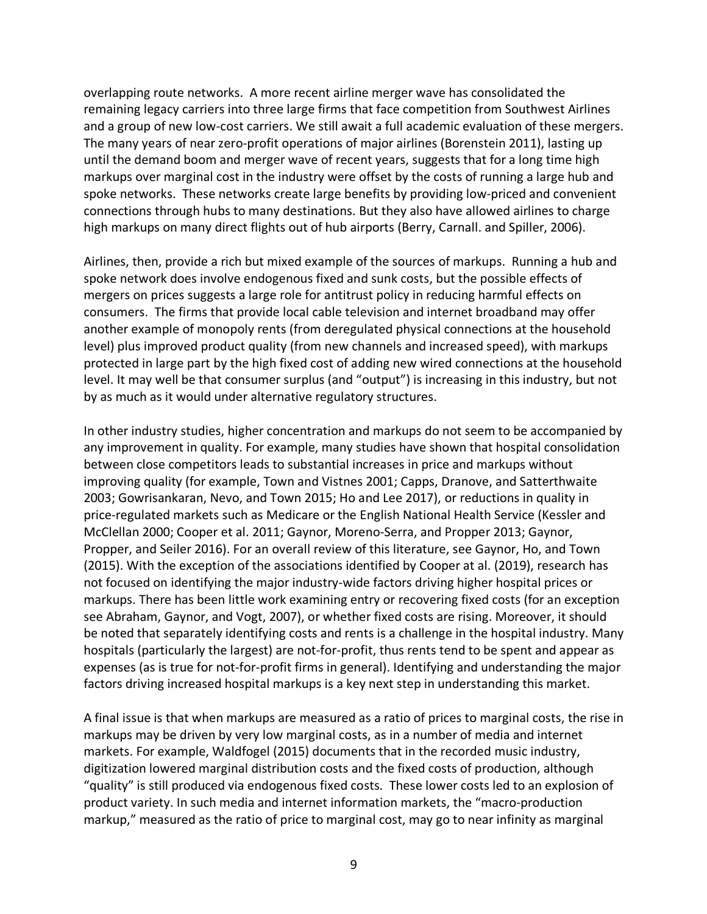overlapping route networks. A more recent airline merger wave has consolidated the remaining legacy carriers into three large firms that face competition from Southwest Airlines and a group of new low-cost carriers. We still await a full academic evaluation of these mergers. The many years of near zero-profit operations of major airlines (Borenstein 2011), lasting up until the demand boom and merger wave of recent years, suggests that for a long time high markups over marginal cost in the industry were offset by the costs of running a large hub and spoke networks. These networks create large benefits by providing low-priced and convenient connections through hubs to many destinations. But they also have allowed airlines to charge high markups on many direct flights out of hub airports (Berry, Carnall. and Spiller, 2006).

Airlines, then, provide a rich but mixed example of the sources of markups. Running a hub and spoke network does involve endogenous fixed and sunk costs, but the possible effects of mergers on prices suggests a large role for antitrust policy in reducing harmful effects on consumers. The firms that provide local cable television and internet broadband may offer another example of monopoly rents (from deregulated physical connections at the household level) plus improved product quality (from new channels and increased speed), with markups protected in large part by the high fixed cost of adding new wired connections at the household level. It may well be that consumer surplus (and "output") is increasing in this industry, but not by as much as it would under alternative regulatory structures.

In other industry studies, higher concentration and markups do not seem to be accompanied by any improvement in quality. For example, many studies have shown that hospital consolidation between close competitors leads to substantial increases in price and markups without improving quality (for example, Town and Vistnes 2001; Capps, Dranove, and Satterthwaite 2003; Gowrisankaran, Nevo, and Town 2015; Ho and Lee 2017), or reductions in quality in price-regulated markets such as Medicare or the English National Health Service (Kessler and McClellan 2000; Cooper et al. 2011; Gaynor, Moreno-Serra, and Propper 2013; Gaynor, Propper, and Seiler 2016). For an overall review of this literature, see Gaynor, Ho, and Town (2015). With the exception of the associations identified by Cooper at al. (2019), research has not focused on identifying the major industry-wide factors driving higher hospital prices or markups. There has been little work examining entry or recovering fixed costs (for an exception see Abraham, Gaynor, and Vogt, 2007), or whether fixed costs are rising. Moreover, it should be noted that separately identifying costs and rents is a challenge in the hospital industry. Many hospitals (particularly the largest) are not-for-profit, thus rents tend to be spent and appear as expenses (as is true for not-for-profit firms in general). Identifying and understanding the major factors driving increased hospital markups is a key next step in understanding this market.

A final issue is that when markups are measured as a ratio of prices to marginal costs, the rise in markups may be driven by very low marginal costs, as in a number of media and internet markets. For example, Waldfogel (2015) documents that in the recorded music industry, digitization lowered marginal distribution costs and the fixed costs of production, although "quality" is still produced via endogenous fixed costs. These lower costs led to an explosion of product variety. In such media and internet information markets, the "macro-production markup," measured as the ratio of price to marginal cost, may go to near infinity as marginal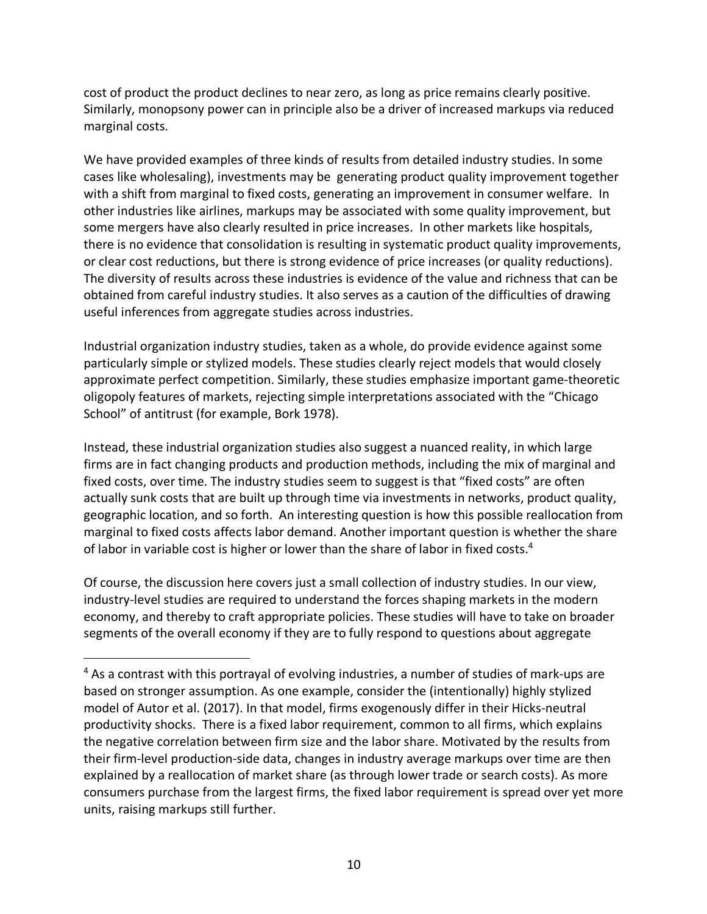cost of product the product declines to near zero, as long as price remains clearly positive. Similarly, monopsony power can in principle also be a driver of increased markups via reduced marginal costs.

We have provided examples of three kinds of results from detailed industry studies. In some cases like wholesaling), investments may be generating product quality improvement together with a shift from marginal to fixed costs, generating an improvement in consumer welfare. In other industries like airlines, markups may be associated with some quality improvement, but some mergers have also clearly resulted in price increases. In other markets like hospitals, there is no evidence that consolidation is resulting in systematic product quality improvements, or clear cost reductions, but there is strong evidence of price increases (or quality reductions). The diversity of results across these industries is evidence of the value and richness that can be obtained from careful industry studies. It also serves as a caution of the difficulties of drawing useful inferences from aggregate studies across industries.

Industrial organization industry studies, taken as a whole, do provide evidence against some particularly simple or stylized models. These studies clearly reject models that would closely approximate perfect competition. Similarly, these studies emphasize important game-theoretic oligopoly features of markets, rejecting simple interpretations associated with the "Chicago School" of antitrust (for example, Bork 1978).

Instead, these industrial organization studies also suggest a nuanced reality, in which large firms are in fact changing products and production methods, including the mix of marginal and fixed costs, over time. The industry studies seem to suggest is that "fixed costs" are often actually sunk costs that are built up through time via investments in networks, product quality, geographic location, and so forth. An interesting question is how this possible reallocation from marginal to fixed costs affects labor demand. Another important question is whether the share of labor in variable cost is higher or lower than the share of labor in fixed costs.<sup>4</sup>

Of course, the discussion here covers just a small collection of industry studies. In our view, industry-level studies are required to understand the forces shaping markets in the modern economy, and thereby to craft appropriate policies. These studies will have to take on broader segments of the overall economy if they are to fully respond to questions about aggregate

<sup>&</sup>lt;sup>4</sup> As a contrast with this portrayal of evolving industries, a number of studies of mark-ups are based on stronger assumption. As one example, consider the (intentionally) highly stylized model of Autor et al. (2017). In that model, firms exogenously differ in their Hicks-neutral productivity shocks. There is a fixed labor requirement, common to all firms, which explains the negative correlation between firm size and the labor share. Motivated by the results from their firm-level production-side data, changes in industry average markups over time are then explained by a reallocation of market share (as through lower trade or search costs). As more consumers purchase from the largest firms, the fixed labor requirement is spread over yet more units, raising markups still further.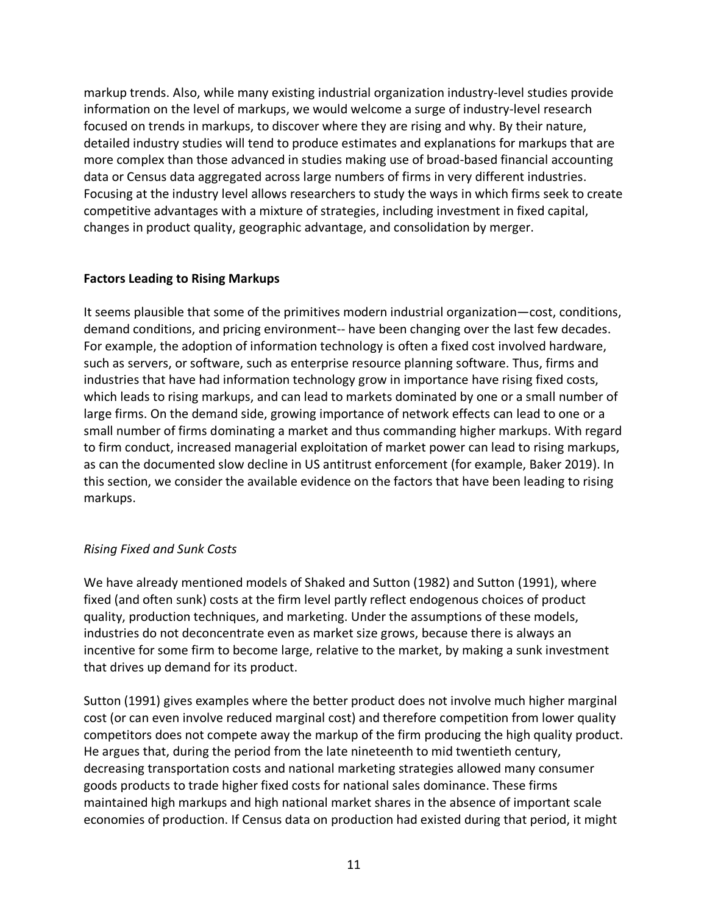markup trends. Also, while many existing industrial organization industry-level studies provide information on the level of markups, we would welcome a surge of industry-level research focused on trends in markups, to discover where they are rising and why. By their nature, detailed industry studies will tend to produce estimates and explanations for markups that are more complex than those advanced in studies making use of broad-based financial accounting data or Census data aggregated across large numbers of firms in very different industries. Focusing at the industry level allows researchers to study the ways in which firms seek to create competitive advantages with a mixture of strategies, including investment in fixed capital, changes in product quality, geographic advantage, and consolidation by merger.

## **Factors Leading to Rising Markups**

It seems plausible that some of the primitives modern industrial organization—cost, conditions, demand conditions, and pricing environment-- have been changing over the last few decades. For example, the adoption of information technology is often a fixed cost involved hardware, such as servers, or software, such as enterprise resource planning software. Thus, firms and industries that have had information technology grow in importance have rising fixed costs, which leads to rising markups, and can lead to markets dominated by one or a small number of large firms. On the demand side, growing importance of network effects can lead to one or a small number of firms dominating a market and thus commanding higher markups. With regard to firm conduct, increased managerial exploitation of market power can lead to rising markups, as can the documented slow decline in US antitrust enforcement (for example, Baker 2019). In this section, we consider the available evidence on the factors that have been leading to rising markups.

## *Rising Fixed and Sunk Costs*

We have already mentioned models of Shaked and Sutton (1982) and Sutton (1991), where fixed (and often sunk) costs at the firm level partly reflect endogenous choices of product quality, production techniques, and marketing. Under the assumptions of these models, industries do not deconcentrate even as market size grows, because there is always an incentive for some firm to become large, relative to the market, by making a sunk investment that drives up demand for its product.

Sutton (1991) gives examples where the better product does not involve much higher marginal cost (or can even involve reduced marginal cost) and therefore competition from lower quality competitors does not compete away the markup of the firm producing the high quality product. He argues that, during the period from the late nineteenth to mid twentieth century, decreasing transportation costs and national marketing strategies allowed many consumer goods products to trade higher fixed costs for national sales dominance. These firms maintained high markups and high national market shares in the absence of important scale economies of production. If Census data on production had existed during that period, it might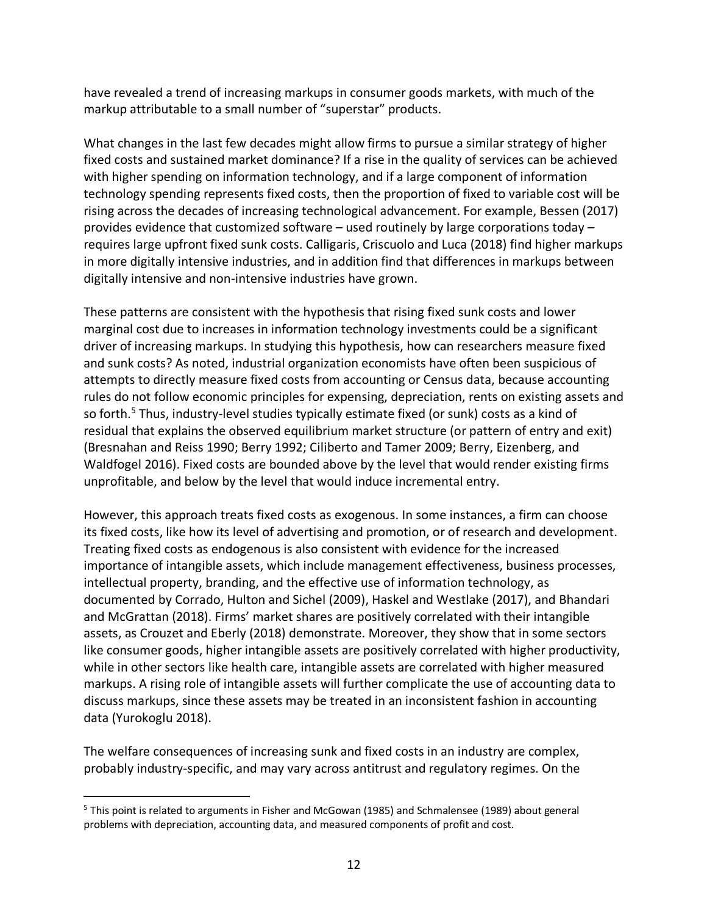have revealed a trend of increasing markups in consumer goods markets, with much of the markup attributable to a small number of "superstar" products.

What changes in the last few decades might allow firms to pursue a similar strategy of higher fixed costs and sustained market dominance? If a rise in the quality of services can be achieved with higher spending on information technology, and if a large component of information technology spending represents fixed costs, then the proportion of fixed to variable cost will be rising across the decades of increasing technological advancement. For example, Bessen (2017) provides evidence that customized software – used routinely by large corporations today – requires large upfront fixed sunk costs. Calligaris, Criscuolo and Luca (2018) find higher markups in more digitally intensive industries, and in addition find that differences in markups between digitally intensive and non-intensive industries have grown.

These patterns are consistent with the hypothesis that rising fixed sunk costs and lower marginal cost due to increases in information technology investments could be a significant driver of increasing markups. In studying this hypothesis, how can researchers measure fixed and sunk costs? As noted, industrial organization economists have often been suspicious of attempts to directly measure fixed costs from accounting or Census data, because accounting rules do not follow economic principles for expensing, depreciation, rents on existing assets and so forth.<sup>5</sup> Thus, industry-level studies typically estimate fixed (or sunk) costs as a kind of residual that explains the observed equilibrium market structure (or pattern of entry and exit) (Bresnahan and Reiss 1990; Berry 1992; Ciliberto and Tamer 2009; Berry, Eizenberg, and Waldfogel 2016). Fixed costs are bounded above by the level that would render existing firms unprofitable, and below by the level that would induce incremental entry.

However, this approach treats fixed costs as exogenous. In some instances, a firm can choose its fixed costs, like how its level of advertising and promotion, or of research and development. Treating fixed costs as endogenous is also consistent with evidence for the increased importance of intangible assets, which include management effectiveness, business processes, intellectual property, branding, and the effective use of information technology, as documented by Corrado, Hulton and Sichel (2009), Haskel and Westlake (2017), and Bhandari and McGrattan (2018). Firms' market shares are positively correlated with their intangible assets, as Crouzet and Eberly (2018) demonstrate. Moreover, they show that in some sectors like consumer goods, higher intangible assets are positively correlated with higher productivity, while in other sectors like health care, intangible assets are correlated with higher measured markups. A rising role of intangible assets will further complicate the use of accounting data to discuss markups, since these assets may be treated in an inconsistent fashion in accounting data (Yurokoglu 2018).

The welfare consequences of increasing sunk and fixed costs in an industry are complex, probably industry-specific, and may vary across antitrust and regulatory regimes. On the

 <sup>5</sup> This point is related to arguments in Fisher and McGowan (1985) and Schmalensee (1989) about general problems with depreciation, accounting data, and measured components of profit and cost.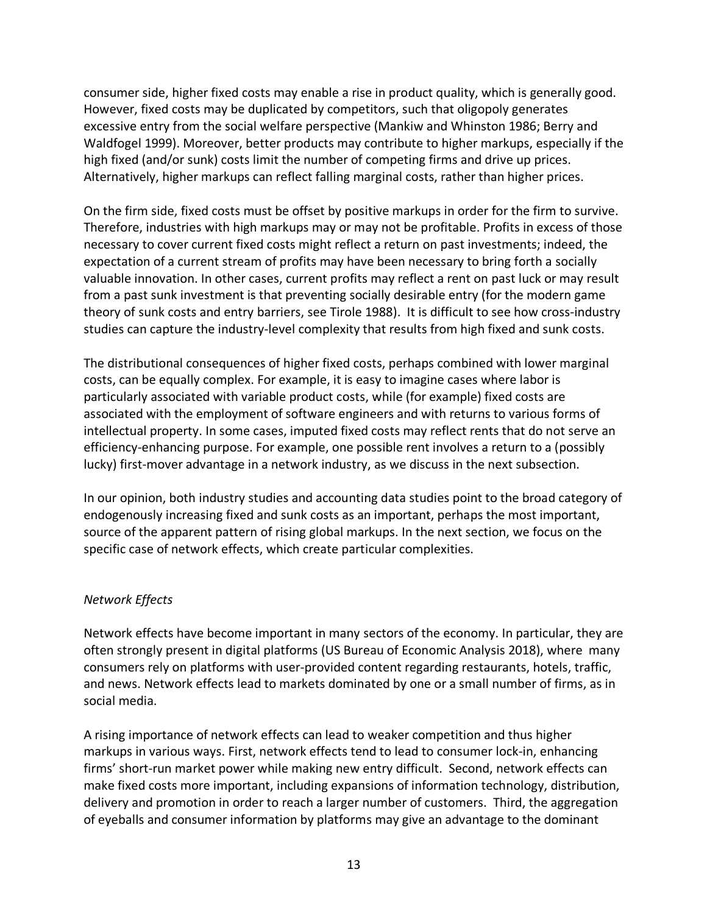consumer side, higher fixed costs may enable a rise in product quality, which is generally good. However, fixed costs may be duplicated by competitors, such that oligopoly generates excessive entry from the social welfare perspective (Mankiw and Whinston 1986; Berry and Waldfogel 1999). Moreover, better products may contribute to higher markups, especially if the high fixed (and/or sunk) costs limit the number of competing firms and drive up prices. Alternatively, higher markups can reflect falling marginal costs, rather than higher prices.

On the firm side, fixed costs must be offset by positive markups in order for the firm to survive. Therefore, industries with high markups may or may not be profitable. Profits in excess of those necessary to cover current fixed costs might reflect a return on past investments; indeed, the expectation of a current stream of profits may have been necessary to bring forth a socially valuable innovation. In other cases, current profits may reflect a rent on past luck or may result from a past sunk investment is that preventing socially desirable entry (for the modern game theory of sunk costs and entry barriers, see Tirole 1988). It is difficult to see how cross-industry studies can capture the industry-level complexity that results from high fixed and sunk costs.

The distributional consequences of higher fixed costs, perhaps combined with lower marginal costs, can be equally complex. For example, it is easy to imagine cases where labor is particularly associated with variable product costs, while (for example) fixed costs are associated with the employment of software engineers and with returns to various forms of intellectual property. In some cases, imputed fixed costs may reflect rents that do not serve an efficiency-enhancing purpose. For example, one possible rent involves a return to a (possibly lucky) first-mover advantage in a network industry, as we discuss in the next subsection.

In our opinion, both industry studies and accounting data studies point to the broad category of endogenously increasing fixed and sunk costs as an important, perhaps the most important, source of the apparent pattern of rising global markups. In the next section, we focus on the specific case of network effects, which create particular complexities.

## *Network Effects*

Network effects have become important in many sectors of the economy. In particular, they are often strongly present in digital platforms (US Bureau of Economic Analysis 2018), where many consumers rely on platforms with user-provided content regarding restaurants, hotels, traffic, and news. Network effects lead to markets dominated by one or a small number of firms, as in social media.

A rising importance of network effects can lead to weaker competition and thus higher markups in various ways. First, network effects tend to lead to consumer lock-in, enhancing firms' short-run market power while making new entry difficult. Second, network effects can make fixed costs more important, including expansions of information technology, distribution, delivery and promotion in order to reach a larger number of customers. Third, the aggregation of eyeballs and consumer information by platforms may give an advantage to the dominant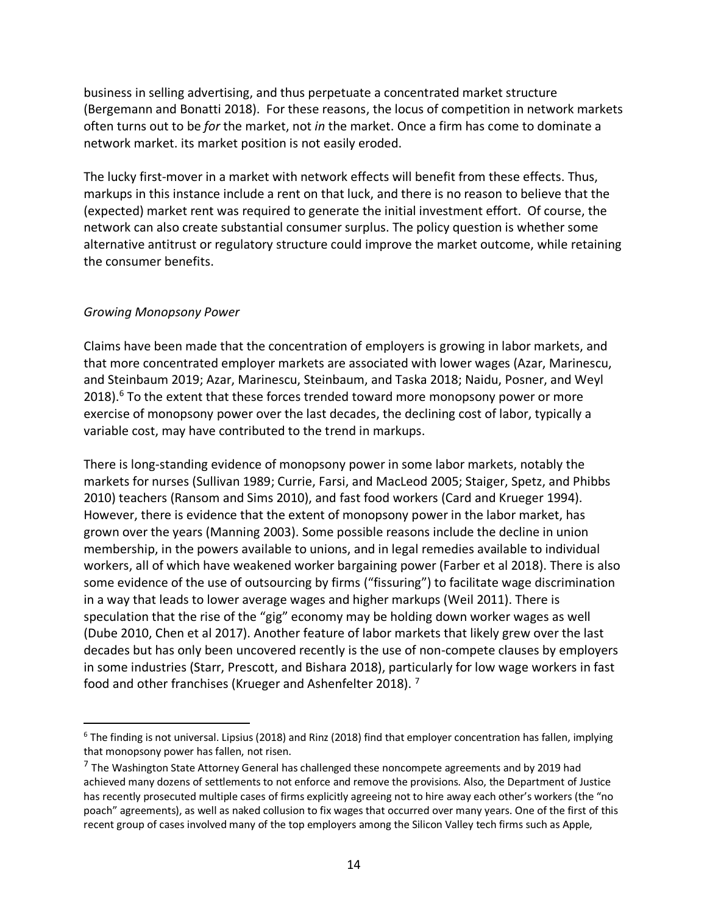business in selling advertising, and thus perpetuate a concentrated market structure (Bergemann and Bonatti 2018). For these reasons, the locus of competition in network markets often turns out to be *for* the market, not *in* the market. Once a firm has come to dominate a network market. its market position is not easily eroded.

The lucky first-mover in a market with network effects will benefit from these effects. Thus, markups in this instance include a rent on that luck, and there is no reason to believe that the (expected) market rent was required to generate the initial investment effort. Of course, the network can also create substantial consumer surplus. The policy question is whether some alternative antitrust or regulatory structure could improve the market outcome, while retaining the consumer benefits.

#### *Growing Monopsony Power*

Claims have been made that the concentration of employers is growing in labor markets, and that more concentrated employer markets are associated with lower wages (Azar, Marinescu, and Steinbaum 2019; Azar, Marinescu, Steinbaum, and Taska 2018; Naidu, Posner, and Weyl  $2018$ ).<sup>6</sup> To the extent that these forces trended toward more monopsony power or more exercise of monopsony power over the last decades, the declining cost of labor, typically a variable cost, may have contributed to the trend in markups.

There is long-standing evidence of monopsony power in some labor markets, notably the markets for nurses (Sullivan 1989; Currie, Farsi, and MacLeod 2005; Staiger, Spetz, and Phibbs 2010) teachers (Ransom and Sims 2010), and fast food workers (Card and Krueger 1994). However, there is evidence that the extent of monopsony power in the labor market, has grown over the years (Manning 2003). Some possible reasons include the decline in union membership, in the powers available to unions, and in legal remedies available to individual workers, all of which have weakened worker bargaining power (Farber et al 2018). There is also some evidence of the use of outsourcing by firms ("fissuring") to facilitate wage discrimination in a way that leads to lower average wages and higher markups (Weil 2011). There is speculation that the rise of the "gig" economy may be holding down worker wages as well (Dube 2010, Chen et al 2017). Another feature of labor markets that likely grew over the last decades but has only been uncovered recently is the use of non-compete clauses by employers in some industries (Starr, Prescott, and Bishara 2018), particularly for low wage workers in fast food and other franchises (Krueger and Ashenfelter 2018). <sup>7</sup>

 $6$  The finding is not universal. Lipsius (2018) and Rinz (2018) find that employer concentration has fallen, implying that monopsony power has fallen, not risen.

 $7$  The Washington State Attorney General has challenged these noncompete agreements and by 2019 had achieved many dozens of settlements to not enforce and remove the provisions. Also, the Department of Justice has recently prosecuted multiple cases of firms explicitly agreeing not to hire away each other's workers (the "no poach" agreements), as well as naked collusion to fix wages that occurred over many years. One of the first of this recent group of cases involved many of the top employers among the Silicon Valley tech firms such as Apple,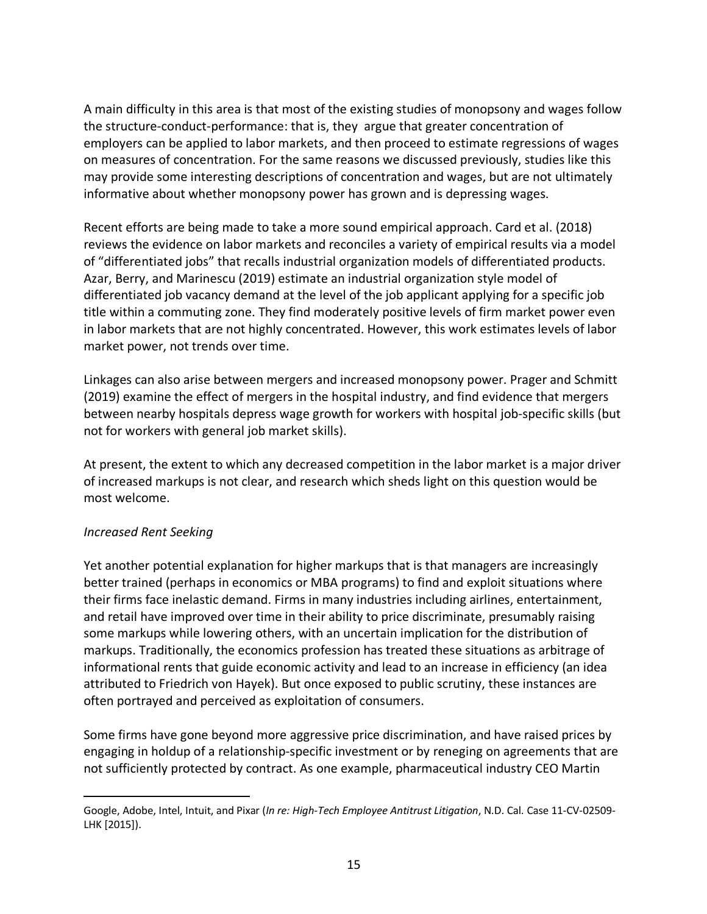A main difficulty in this area is that most of the existing studies of monopsony and wages follow the structure-conduct-performance: that is, they argue that greater concentration of employers can be applied to labor markets, and then proceed to estimate regressions of wages on measures of concentration. For the same reasons we discussed previously, studies like this may provide some interesting descriptions of concentration and wages, but are not ultimately informative about whether monopsony power has grown and is depressing wages.

Recent efforts are being made to take a more sound empirical approach. Card et al. (2018) reviews the evidence on labor markets and reconciles a variety of empirical results via a model of "differentiated jobs" that recalls industrial organization models of differentiated products. Azar, Berry, and Marinescu (2019) estimate an industrial organization style model of differentiated job vacancy demand at the level of the job applicant applying for a specific job title within a commuting zone. They find moderately positive levels of firm market power even in labor markets that are not highly concentrated. However, this work estimates levels of labor market power, not trends over time.

Linkages can also arise between mergers and increased monopsony power. Prager and Schmitt (2019) examine the effect of mergers in the hospital industry, and find evidence that mergers between nearby hospitals depress wage growth for workers with hospital job-specific skills (but not for workers with general job market skills).

At present, the extent to which any decreased competition in the labor market is a major driver of increased markups is not clear, and research which sheds light on this question would be most welcome.

## *Increased Rent Seeking*

 $\overline{a}$ 

Yet another potential explanation for higher markups that is that managers are increasingly better trained (perhaps in economics or MBA programs) to find and exploit situations where their firms face inelastic demand. Firms in many industries including airlines, entertainment, and retail have improved over time in their ability to price discriminate, presumably raising some markups while lowering others, with an uncertain implication for the distribution of markups. Traditionally, the economics profession has treated these situations as arbitrage of informational rents that guide economic activity and lead to an increase in efficiency (an idea attributed to Friedrich von Hayek). But once exposed to public scrutiny, these instances are often portrayed and perceived as exploitation of consumers.

Some firms have gone beyond more aggressive price discrimination, and have raised prices by engaging in holdup of a relationship-specific investment or by reneging on agreements that are not sufficiently protected by contract. As one example, pharmaceutical industry CEO Martin

Google, Adobe, Intel, Intuit, and Pixar (*In re: High-Tech Employee Antitrust Litigation*, N.D. Cal. Case 11-CV-02509- LHK [2015]).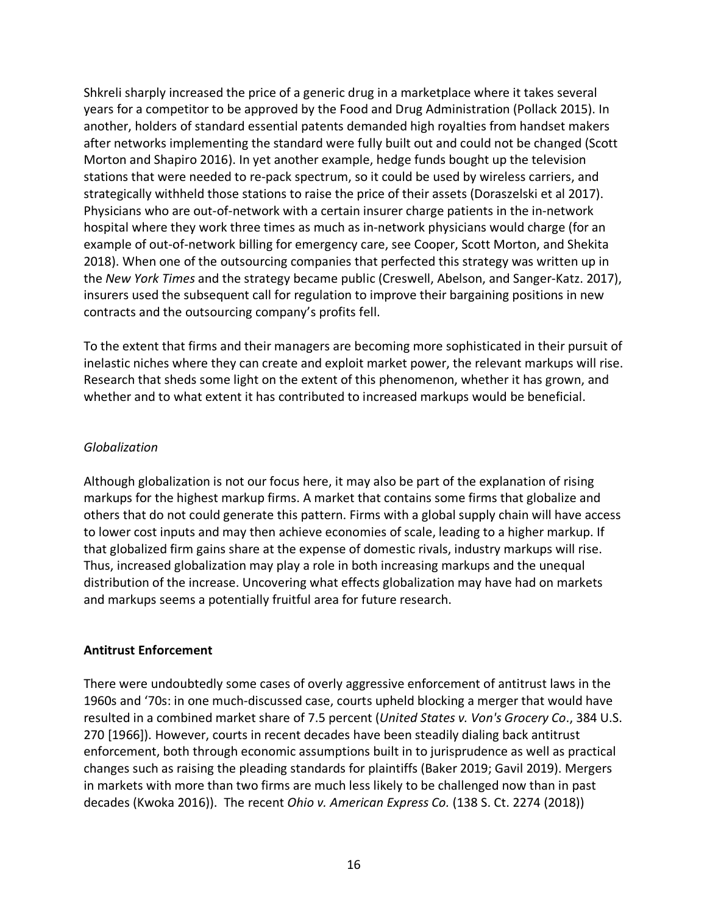Shkreli sharply increased the price of a generic drug in a marketplace where it takes several years for a competitor to be approved by the Food and Drug Administration (Pollack 2015). In another, holders of standard essential patents demanded high royalties from handset makers after networks implementing the standard were fully built out and could not be changed (Scott Morton and Shapiro 2016). In yet another example, hedge funds bought up the television stations that were needed to re-pack spectrum, so it could be used by wireless carriers, and strategically withheld those stations to raise the price of their assets (Doraszelski et al 2017). Physicians who are out-of-network with a certain insurer charge patients in the in-network hospital where they work three times as much as in-network physicians would charge (for an example of out-of-network billing for emergency care, see Cooper, Scott Morton, and Shekita 2018). When one of the outsourcing companies that perfected this strategy was written up in the *New York Times* and the strategy became public (Creswell, Abelson, and Sanger-Katz. 2017), insurers used the subsequent call for regulation to improve their bargaining positions in new contracts and the outsourcing company's profits fell.

To the extent that firms and their managers are becoming more sophisticated in their pursuit of inelastic niches where they can create and exploit market power, the relevant markups will rise. Research that sheds some light on the extent of this phenomenon, whether it has grown, and whether and to what extent it has contributed to increased markups would be beneficial.

## *Globalization*

Although globalization is not our focus here, it may also be part of the explanation of rising markups for the highest markup firms. A market that contains some firms that globalize and others that do not could generate this pattern. Firms with a global supply chain will have access to lower cost inputs and may then achieve economies of scale, leading to a higher markup. If that globalized firm gains share at the expense of domestic rivals, industry markups will rise. Thus, increased globalization may play a role in both increasing markups and the unequal distribution of the increase. Uncovering what effects globalization may have had on markets and markups seems a potentially fruitful area for future research.

## **Antitrust Enforcement**

There were undoubtedly some cases of overly aggressive enforcement of antitrust laws in the 1960s and '70s: in one much-discussed case, courts upheld blocking a merger that would have resulted in a combined market share of 7.5 percent (*United States v. Von's Grocery Co*., 384 U.S. 270 [1966]). However, courts in recent decades have been steadily dialing back antitrust enforcement, both through economic assumptions built in to jurisprudence as well as practical changes such as raising the pleading standards for plaintiffs (Baker 2019; Gavil 2019). Mergers in markets with more than two firms are much less likely to be challenged now than in past decades (Kwoka 2016)). The recent *Ohio v. American Express Co.* (138 S. Ct. 2274 (2018))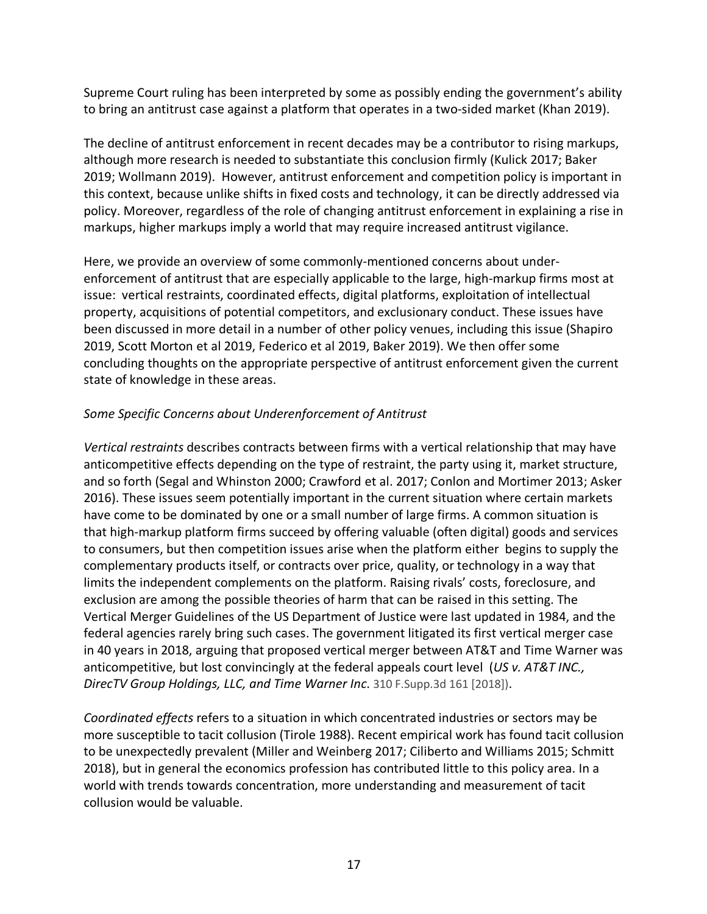Supreme Court ruling has been interpreted by some as possibly ending the government's ability to bring an antitrust case against a platform that operates in a two-sided market (Khan 2019).

The decline of antitrust enforcement in recent decades may be a contributor to rising markups, although more research is needed to substantiate this conclusion firmly (Kulick 2017; Baker 2019; Wollmann 2019). However, antitrust enforcement and competition policy is important in this context, because unlike shifts in fixed costs and technology, it can be directly addressed via policy. Moreover, regardless of the role of changing antitrust enforcement in explaining a rise in markups, higher markups imply a world that may require increased antitrust vigilance.

Here, we provide an overview of some commonly-mentioned concerns about underenforcement of antitrust that are especially applicable to the large, high-markup firms most at issue: vertical restraints, coordinated effects, digital platforms, exploitation of intellectual property, acquisitions of potential competitors, and exclusionary conduct. These issues have been discussed in more detail in a number of other policy venues, including this issue (Shapiro 2019, Scott Morton et al 2019, Federico et al 2019, Baker 2019). We then offer some concluding thoughts on the appropriate perspective of antitrust enforcement given the current state of knowledge in these areas.

### *Some Specific Concerns about Underenforcement of Antitrust*

*Vertical restraints* describes contracts between firms with a vertical relationship that may have anticompetitive effects depending on the type of restraint, the party using it, market structure, and so forth (Segal and Whinston 2000; Crawford et al. 2017; Conlon and Mortimer 2013; Asker 2016). These issues seem potentially important in the current situation where certain markets have come to be dominated by one or a small number of large firms. A common situation is that high-markup platform firms succeed by offering valuable (often digital) goods and services to consumers, but then competition issues arise when the platform either begins to supply the complementary products itself, or contracts over price, quality, or technology in a way that limits the independent complements on the platform. Raising rivals' costs, foreclosure, and exclusion are among the possible theories of harm that can be raised in this setting. The Vertical Merger Guidelines of the US Department of Justice were last updated in 1984, and the federal agencies rarely bring such cases. The government litigated its first vertical merger case in 40 years in 2018, arguing that proposed vertical merger between AT&T and Time Warner was anticompetitive, but lost convincingly at the federal appeals court level (*US v. AT&T INC., DirecTV Group Holdings, LLC, and Time Warner Inc*. 310 F.Supp.3d 161 [2018]).

*Coordinated effects* refers to a situation in which concentrated industries or sectors may be more susceptible to tacit collusion (Tirole 1988). Recent empirical work has found tacit collusion to be unexpectedly prevalent (Miller and Weinberg 2017; Ciliberto and Williams 2015; Schmitt 2018), but in general the economics profession has contributed little to this policy area. In a world with trends towards concentration, more understanding and measurement of tacit collusion would be valuable.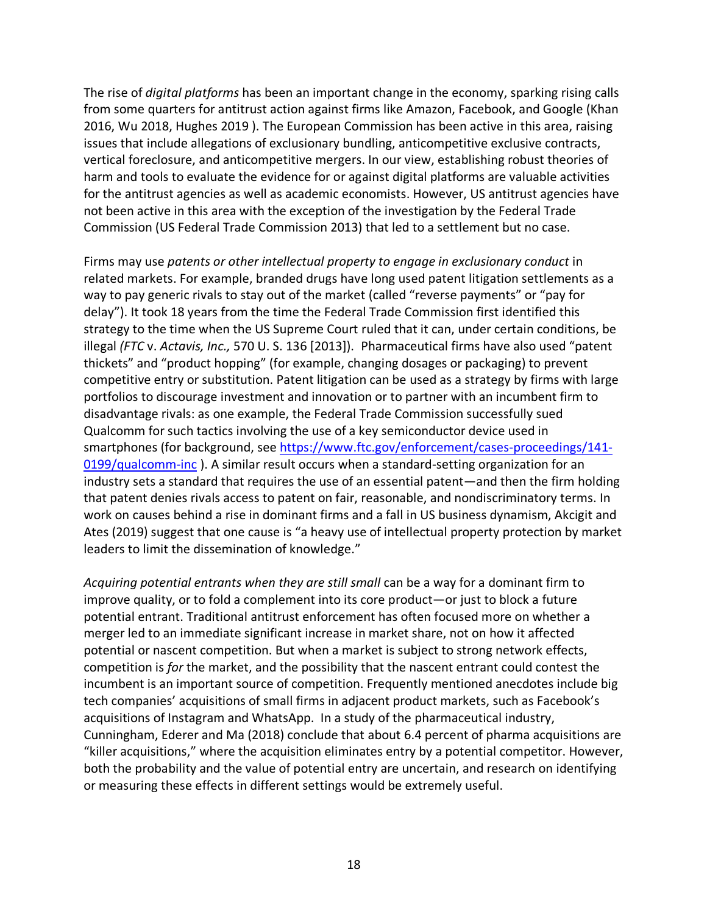The rise of *digital platforms* has been an important change in the economy, sparking rising calls from some quarters for antitrust action against firms like Amazon, Facebook, and Google (Khan 2016, Wu 2018, Hughes 2019 ). The European Commission has been active in this area, raising issues that include allegations of exclusionary bundling, anticompetitive exclusive contracts, vertical foreclosure, and anticompetitive mergers. In our view, establishing robust theories of harm and tools to evaluate the evidence for or against digital platforms are valuable activities for the antitrust agencies as well as academic economists. However, US antitrust agencies have not been active in this area with the exception of the investigation by the Federal Trade Commission (US Federal Trade Commission 2013) that led to a settlement but no case.

Firms may use *patents or other intellectual property to engage in exclusionary conduct* in related markets. For example, branded drugs have long used patent litigation settlements as a way to pay generic rivals to stay out of the market (called "reverse payments" or "pay for delay"). It took 18 years from the time the Federal Trade Commission first identified this strategy to the time when the US Supreme Court ruled that it can, under certain conditions, be illegal *(FTC* v. *Actavis, Inc.,* 570 U. S. 136 [2013]). Pharmaceutical firms have also used "patent thickets" and "product hopping" (for example, changing dosages or packaging) to prevent competitive entry or substitution. Patent litigation can be used as a strategy by firms with large portfolios to discourage investment and innovation or to partner with an incumbent firm to disadvantage rivals: as one example, the Federal Trade Commission successfully sued Qualcomm for such tactics involving the use of a key semiconductor device used in smartphones (for background, see https://www.ftc.gov/enforcement/cases-proceedings/141- 0199/qualcomm-inc ). A similar result occurs when a standard-setting organization for an industry sets a standard that requires the use of an essential patent—and then the firm holding that patent denies rivals access to patent on fair, reasonable, and nondiscriminatory terms. In work on causes behind a rise in dominant firms and a fall in US business dynamism, Akcigit and Ates (2019) suggest that one cause is "a heavy use of intellectual property protection by market leaders to limit the dissemination of knowledge."

*Acquiring potential entrants when they are still small* can be a way for a dominant firm to improve quality, or to fold a complement into its core product—or just to block a future potential entrant. Traditional antitrust enforcement has often focused more on whether a merger led to an immediate significant increase in market share, not on how it affected potential or nascent competition. But when a market is subject to strong network effects, competition is *for* the market, and the possibility that the nascent entrant could contest the incumbent is an important source of competition. Frequently mentioned anecdotes include big tech companies' acquisitions of small firms in adjacent product markets, such as Facebook's acquisitions of Instagram and WhatsApp. In a study of the pharmaceutical industry, Cunningham, Ederer and Ma (2018) conclude that about 6.4 percent of pharma acquisitions are "killer acquisitions," where the acquisition eliminates entry by a potential competitor. However, both the probability and the value of potential entry are uncertain, and research on identifying or measuring these effects in different settings would be extremely useful.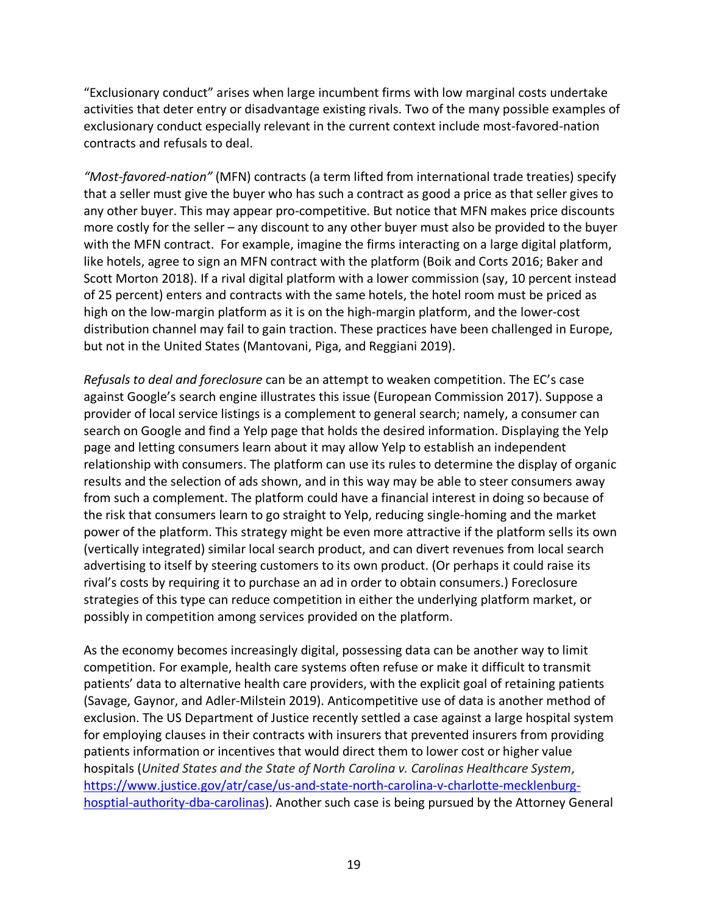"Exclusionary conduct" arises when large incumbent firms with low marginal costs undertake activities that deter entry or disadvantage existing rivals. Two of the many possible examples of exclusionary conduct especially relevant in the current context include most-favored-nation contracts and refusals to deal.

*"Most-favored-nation"* (MFN) contracts (a term lifted from international trade treaties) specify that a seller must give the buyer who has such a contract as good a price as that seller gives to any other buyer. This may appear pro-competitive. But notice that MFN makes price discounts more costly for the seller – any discount to any other buyer must also be provided to the buyer with the MFN contract. For example, imagine the firms interacting on a large digital platform, like hotels, agree to sign an MFN contract with the platform (Boik and Corts 2016; Baker and Scott Morton 2018). If a rival digital platform with a lower commission (say, 10 percent instead of 25 percent) enters and contracts with the same hotels, the hotel room must be priced as high on the low-margin platform as it is on the high-margin platform, and the lower-cost distribution channel may fail to gain traction. These practices have been challenged in Europe, but not in the United States (Mantovani, Piga, and Reggiani 2019).

*Refusals to deal and foreclosure* can be an attempt to weaken competition. The EC's case against Google's search engine illustrates this issue (European Commission 2017). Suppose a provider of local service listings is a complement to general search; namely, a consumer can search on Google and find a Yelp page that holds the desired information. Displaying the Yelp page and letting consumers learn about it may allow Yelp to establish an independent relationship with consumers. The platform can use its rules to determine the display of organic results and the selection of ads shown, and in this way may be able to steer consumers away from such a complement. The platform could have a financial interest in doing so because of the risk that consumers learn to go straight to Yelp, reducing single-homing and the market power of the platform. This strategy might be even more attractive if the platform sells its own (vertically integrated) similar local search product, and can divert revenues from local search advertising to itself by steering customers to its own product. (Or perhaps it could raise its rival's costs by requiring it to purchase an ad in order to obtain consumers.) Foreclosure strategies of this type can reduce competition in either the underlying platform market, or possibly in competition among services provided on the platform.

As the economy becomes increasingly digital, possessing data can be another way to limit competition. For example, health care systems often refuse or make it difficult to transmit patients' data to alternative health care providers, with the explicit goal of retaining patients (Savage, Gaynor, and Adler-Milstein 2019). Anticompetitive use of data is another method of exclusion. The US Department of Justice recently settled a case against a large hospital system for employing clauses in their contracts with insurers that prevented insurers from providing patients information or incentives that would direct them to lower cost or higher value hospitals (*United States and the State of North Carolina v. Carolinas Healthcare System*, https://www.justice.gov/atr/case/us-and-state-north-carolina-v-charlotte-mecklenburghosptial-authority-dba-carolinas). Another such case is being pursued by the Attorney General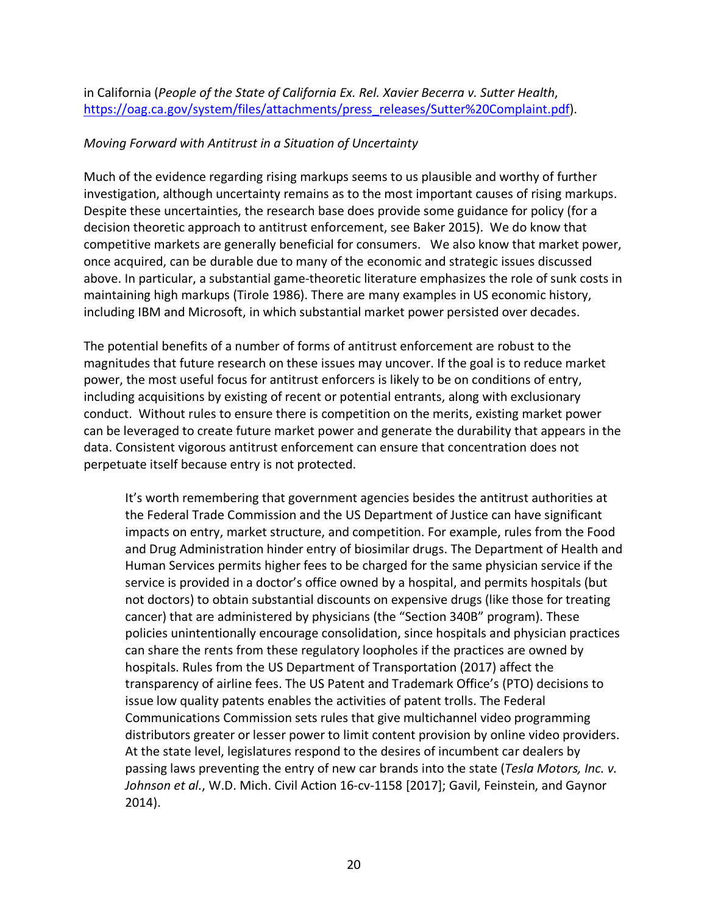in California (*People of the State of California Ex. Rel. Xavier Becerra v. Sutter Health*, https://oag.ca.gov/system/files/attachments/press\_releases/Sutter%20Complaint.pdf).

#### *Moving Forward with Antitrust in a Situation of Uncertainty*

Much of the evidence regarding rising markups seems to us plausible and worthy of further investigation, although uncertainty remains as to the most important causes of rising markups. Despite these uncertainties, the research base does provide some guidance for policy (for a decision theoretic approach to antitrust enforcement, see Baker 2015). We do know that competitive markets are generally beneficial for consumers. We also know that market power, once acquired, can be durable due to many of the economic and strategic issues discussed above. In particular, a substantial game-theoretic literature emphasizes the role of sunk costs in maintaining high markups (Tirole 1986). There are many examples in US economic history, including IBM and Microsoft, in which substantial market power persisted over decades.

The potential benefits of a number of forms of antitrust enforcement are robust to the magnitudes that future research on these issues may uncover. If the goal is to reduce market power, the most useful focus for antitrust enforcers is likely to be on conditions of entry, including acquisitions by existing of recent or potential entrants, along with exclusionary conduct. Without rules to ensure there is competition on the merits, existing market power can be leveraged to create future market power and generate the durability that appears in the data. Consistent vigorous antitrust enforcement can ensure that concentration does not perpetuate itself because entry is not protected.

It's worth remembering that government agencies besides the antitrust authorities at the Federal Trade Commission and the US Department of Justice can have significant impacts on entry, market structure, and competition. For example, rules from the Food and Drug Administration hinder entry of biosimilar drugs. The Department of Health and Human Services permits higher fees to be charged for the same physician service if the service is provided in a doctor's office owned by a hospital, and permits hospitals (but not doctors) to obtain substantial discounts on expensive drugs (like those for treating cancer) that are administered by physicians (the "Section 340B" program). These policies unintentionally encourage consolidation, since hospitals and physician practices can share the rents from these regulatory loopholes if the practices are owned by hospitals. Rules from the US Department of Transportation (2017) affect the transparency of airline fees. The US Patent and Trademark Office's (PTO) decisions to issue low quality patents enables the activities of patent trolls. The Federal Communications Commission sets rules that give multichannel video programming distributors greater or lesser power to limit content provision by online video providers. At the state level, legislatures respond to the desires of incumbent car dealers by passing laws preventing the entry of new car brands into the state (*Tesla Motors, Inc. v. Johnson et al.*, W.D. Mich. Civil Action 16-cv-1158 [2017]; Gavil, Feinstein, and Gaynor 2014).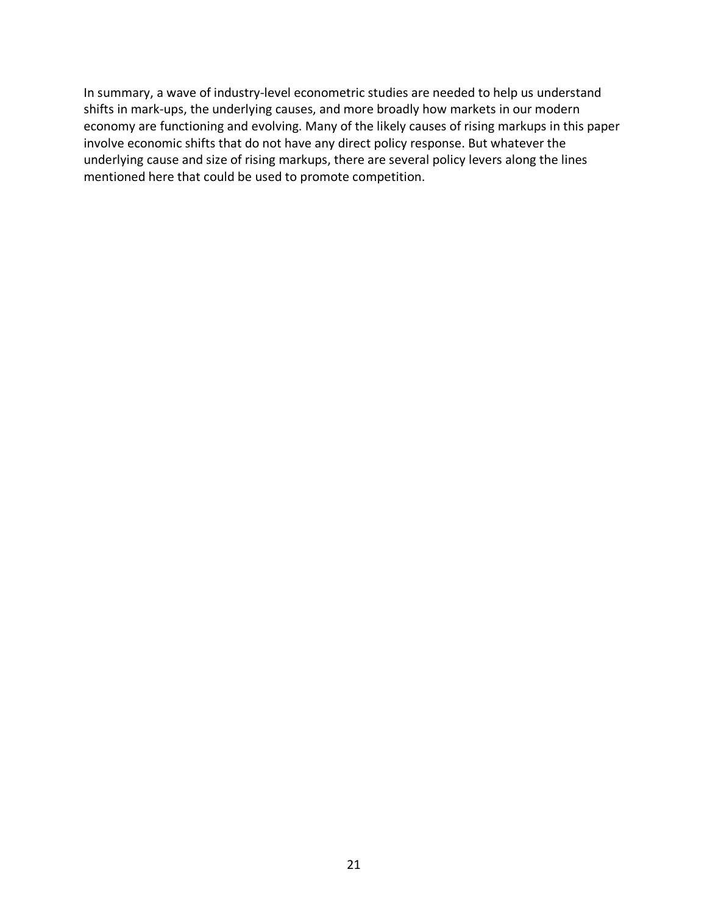In summary, a wave of industry-level econometric studies are needed to help us understand shifts in mark-ups, the underlying causes, and more broadly how markets in our modern economy are functioning and evolving. Many of the likely causes of rising markups in this paper involve economic shifts that do not have any direct policy response. But whatever the underlying cause and size of rising markups, there are several policy levers along the lines mentioned here that could be used to promote competition.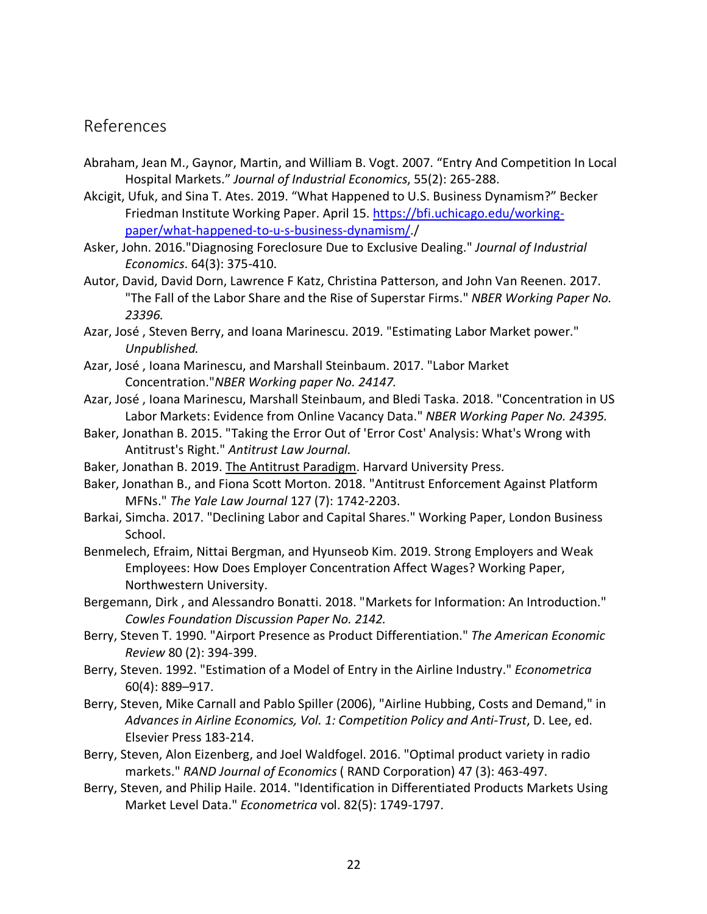# References

- Abraham, Jean M., Gaynor, Martin, and William B. Vogt. 2007. "Entry And Competition In Local Hospital Markets." *Journal of Industrial Economics*, 55(2): 265-288.
- Akcigit, Ufuk, and Sina T. Ates. 2019. "What Happened to U.S. Business Dynamism?" Becker Friedman Institute Working Paper. April 15. https://bfi.uchicago.edu/workingpaper/what-happened-to-u-s-business-dynamism/./
- Asker, John. 2016."Diagnosing Foreclosure Due to Exclusive Dealing." *Journal of Industrial Economics*. 64(3): 375-410.
- Autor, David, David Dorn, Lawrence F Katz, Christina Patterson, and John Van Reenen. 2017. "The Fall of the Labor Share and the Rise of Superstar Firms." *NBER Working Paper No. 23396.*
- Azar, José , Steven Berry, and Ioana Marinescu. 2019. "Estimating Labor Market power." *Unpublished.*
- Azar, José , Ioana Marinescu, and Marshall Steinbaum. 2017. "Labor Market Concentration."*NBER Working paper No. 24147.*
- Azar, José , Ioana Marinescu, Marshall Steinbaum, and Bledi Taska. 2018. "Concentration in US Labor Markets: Evidence from Online Vacancy Data." *NBER Working Paper No. 24395.*
- Baker, Jonathan B. 2015. "Taking the Error Out of 'Error Cost' Analysis: What's Wrong with Antitrust's Right." *Antitrust Law Journal.*
- Baker, Jonathan B. 2019. The Antitrust Paradigm. Harvard University Press.
- Baker, Jonathan B., and Fiona Scott Morton. 2018. "Antitrust Enforcement Against Platform MFNs." *The Yale Law Journal* 127 (7): 1742-2203.
- Barkai, Simcha. 2017. "Declining Labor and Capital Shares." Working Paper, London Business School.
- Benmelech, Efraim, Nittai Bergman, and Hyunseob Kim. 2019. Strong Employers and Weak Employees: How Does Employer Concentration Affect Wages? Working Paper, Northwestern University.
- Bergemann, Dirk , and Alessandro Bonatti. 2018. "Markets for Information: An Introduction." *Cowles Foundation Discussion Paper No. 2142.*
- Berry, Steven T. 1990. "Airport Presence as Product Differentiation." *The American Economic Review* 80 (2): 394-399.
- Berry, Steven. 1992. "Estimation of a Model of Entry in the Airline Industry." *Econometrica* 60(4): 889–917.
- Berry, Steven, Mike Carnall and Pablo Spiller (2006), "Airline Hubbing, Costs and Demand," in *Advances in Airline Economics, Vol. 1: Competition Policy and Anti-Trust*, D. Lee, ed. Elsevier Press 183-214.
- Berry, Steven, Alon Eizenberg, and Joel Waldfogel. 2016. "Optimal product variety in radio markets." *RAND Journal of Economics* ( RAND Corporation) 47 (3): 463-497.
- Berry, Steven, and Philip Haile. 2014. "Identification in Differentiated Products Markets Using Market Level Data." *Econometrica* vol. 82(5): 1749-1797.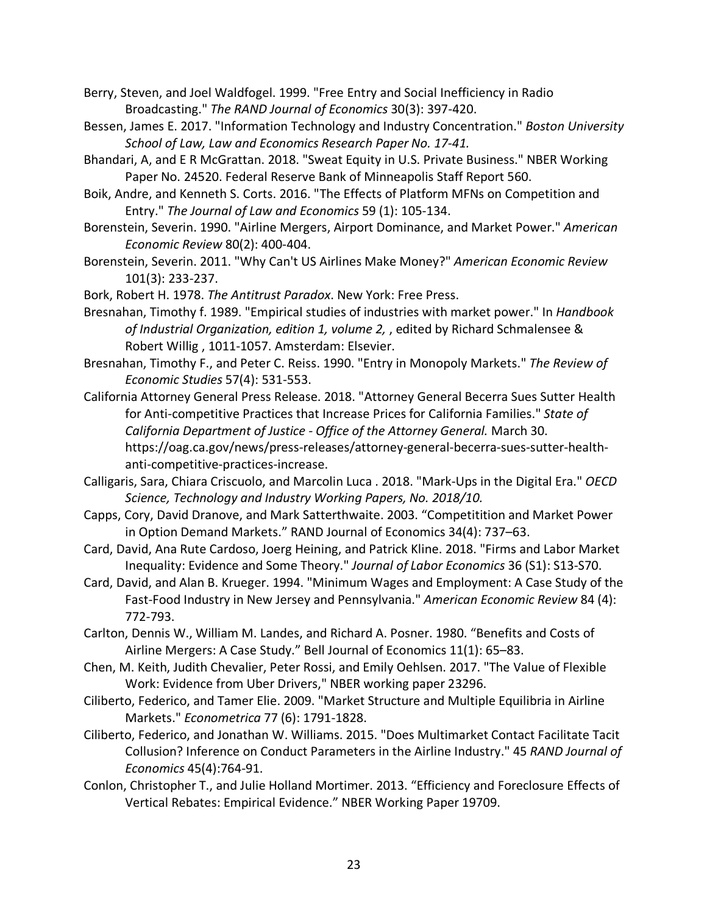- Berry, Steven, and Joel Waldfogel. 1999. "Free Entry and Social Inefficiency in Radio Broadcasting." *The RAND Journal of Economics* 30(3): 397-420.
- Bessen, James E. 2017. "Information Technology and Industry Concentration." *Boston University School of Law, Law and Economics Research Paper No. 17-41.*
- Bhandari, A, and E R McGrattan. 2018. "Sweat Equity in U.S. Private Business." NBER Working Paper No. 24520. Federal Reserve Bank of Minneapolis Staff Report 560.
- Boik, Andre, and Kenneth S. Corts. 2016. "The Effects of Platform MFNs on Competition and Entry." *The Journal of Law and Economics* 59 (1): 105-134.
- Borenstein, Severin. 1990. "Airline Mergers, Airport Dominance, and Market Power." *American Economic Review* 80(2): 400-404.
- Borenstein, Severin. 2011. "Why Can't US Airlines Make Money?" *American Economic Review* 101(3): 233-237.
- Bork, Robert H. 1978. *The Antitrust Paradox*. New York: Free Press.
- Bresnahan, Timothy f. 1989. "Empirical studies of industries with market power." In *Handbook of Industrial Organization, edition 1, volume 2,* , edited by Richard Schmalensee & Robert Willig , 1011-1057. Amsterdam: Elsevier.
- Bresnahan, Timothy F., and Peter C. Reiss. 1990. "Entry in Monopoly Markets." *The Review of Economic Studies* 57(4): 531-553.
- California Attorney General Press Release. 2018. "Attorney General Becerra Sues Sutter Health for Anti-competitive Practices that Increase Prices for California Families." *State of California Department of Justice - Office of the Attorney General.* March 30. https://oag.ca.gov/news/press-releases/attorney-general-becerra-sues-sutter-healthanti-competitive-practices-increase.
- Calligaris, Sara, Chiara Criscuolo, and Marcolin Luca . 2018. "Mark-Ups in the Digital Era." *OECD Science, Technology and Industry Working Papers, No. 2018/10.*
- Capps, Cory, David Dranove, and Mark Satterthwaite. 2003. "Competitition and Market Power in Option Demand Markets." RAND Journal of Economics 34(4): 737–63.
- Card, David, Ana Rute Cardoso, Joerg Heining, and Patrick Kline. 2018. "Firms and Labor Market Inequality: Evidence and Some Theory." *Journal of Labor Economics* 36 (S1): S13-S70.
- Card, David, and Alan B. Krueger. 1994. "Minimum Wages and Employment: A Case Study of the Fast-Food Industry in New Jersey and Pennsylvania." *American Economic Review* 84 (4): 772-793.
- Carlton, Dennis W., William M. Landes, and Richard A. Posner. 1980. "Benefits and Costs of Airline Mergers: A Case Study." Bell Journal of Economics 11(1): 65–83.
- Chen, M. Keith, Judith Chevalier, Peter Rossi, and Emily Oehlsen. 2017. "The Value of Flexible Work: Evidence from Uber Drivers," NBER working paper 23296.
- Ciliberto, Federico, and Tamer Elie. 2009. "Market Structure and Multiple Equilibria in Airline Markets." *Econometrica* 77 (6): 1791-1828.
- Ciliberto, Federico, and Jonathan W. Williams. 2015. "Does Multimarket Contact Facilitate Tacit Collusion? Inference on Conduct Parameters in the Airline Industry." 45 *RAND Journal of Economics* 45(4):764-91.
- Conlon, Christopher T., and Julie Holland Mortimer. 2013. "Efficiency and Foreclosure Effects of Vertical Rebates: Empirical Evidence." NBER Working Paper 19709.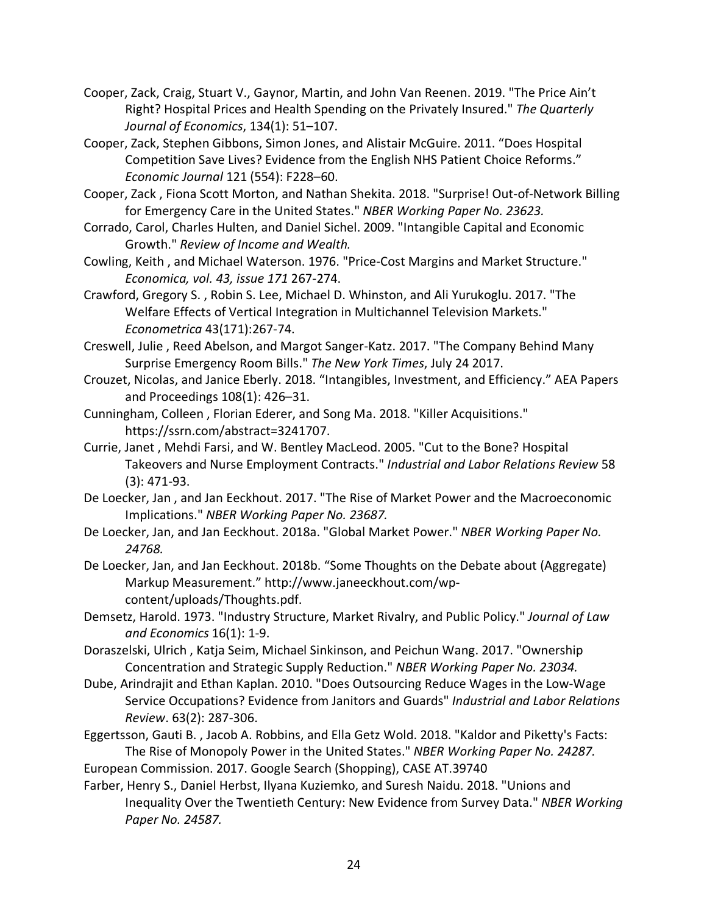- Cooper, Zack, Craig, Stuart V., Gaynor, Martin, and John Van Reenen. 2019. "The Price Ain't Right? Hospital Prices and Health Spending on the Privately Insured." *The Quarterly Journal of Economics*, 134(1): 51–107.
- Cooper, Zack, Stephen Gibbons, Simon Jones, and Alistair McGuire. 2011. "Does Hospital Competition Save Lives? Evidence from the English NHS Patient Choice Reforms." *Economic Journal* 121 (554): F228–60.
- Cooper, Zack , Fiona Scott Morton, and Nathan Shekita. 2018. "Surprise! Out-of-Network Billing for Emergency Care in the United States." *NBER Working Paper No. 23623.*
- Corrado, Carol, Charles Hulten, and Daniel Sichel. 2009. "Intangible Capital and Economic Growth." *Review of Income and Wealth.*
- Cowling, Keith , and Michael Waterson. 1976. "Price-Cost Margins and Market Structure." *Economica, vol. 43, issue 171* 267-274.
- Crawford, Gregory S. , Robin S. Lee, Michael D. Whinston, and Ali Yurukoglu. 2017. "The Welfare Effects of Vertical Integration in Multichannel Television Markets." *Econometrica* 43(171):267-74.
- Creswell, Julie , Reed Abelson, and Margot Sanger-Katz. 2017. "The Company Behind Many Surprise Emergency Room Bills." *The New York Times*, July 24 2017.
- Crouzet, Nicolas, and Janice Eberly. 2018. "Intangibles, Investment, and Efficiency." AEA Papers and Proceedings 108(1): 426–31.
- Cunningham, Colleen , Florian Ederer, and Song Ma. 2018. "Killer Acquisitions." https://ssrn.com/abstract=3241707.
- Currie, Janet , Mehdi Farsi, and W. Bentley MacLeod. 2005. "Cut to the Bone? Hospital Takeovers and Nurse Employment Contracts." *Industrial and Labor Relations Review* 58 (3): 471-93.
- De Loecker, Jan , and Jan Eeckhout. 2017. "The Rise of Market Power and the Macroeconomic Implications." *NBER Working Paper No. 23687.*
- De Loecker, Jan, and Jan Eeckhout. 2018a. "Global Market Power." *NBER Working Paper No. 24768.*
- De Loecker, Jan, and Jan Eeckhout. 2018b. "Some Thoughts on the Debate about (Aggregate) Markup Measurement." http://www.janeeckhout.com/wpcontent/uploads/Thoughts.pdf.
- Demsetz, Harold. 1973. "Industry Structure, Market Rivalry, and Public Policy." *Journal of Law and Economics* 16(1): 1-9.
- Doraszelski, Ulrich , Katja Seim, Michael Sinkinson, and Peichun Wang. 2017. "Ownership Concentration and Strategic Supply Reduction." *NBER Working Paper No. 23034.*
- Dube, Arindrajit and Ethan Kaplan. 2010. "Does Outsourcing Reduce Wages in the Low-Wage Service Occupations? Evidence from Janitors and Guards" *Industrial and Labor Relations Review*. 63(2): 287-306.
- Eggertsson, Gauti B. , Jacob A. Robbins, and Ella Getz Wold. 2018. "Kaldor and Piketty's Facts: The Rise of Monopoly Power in the United States." *NBER Working Paper No. 24287.*
- European Commission. 2017. Google Search (Shopping), CASE AT.39740
- Farber, Henry S., Daniel Herbst, Ilyana Kuziemko, and Suresh Naidu. 2018. "Unions and Inequality Over the Twentieth Century: New Evidence from Survey Data." *NBER Working Paper No. 24587.*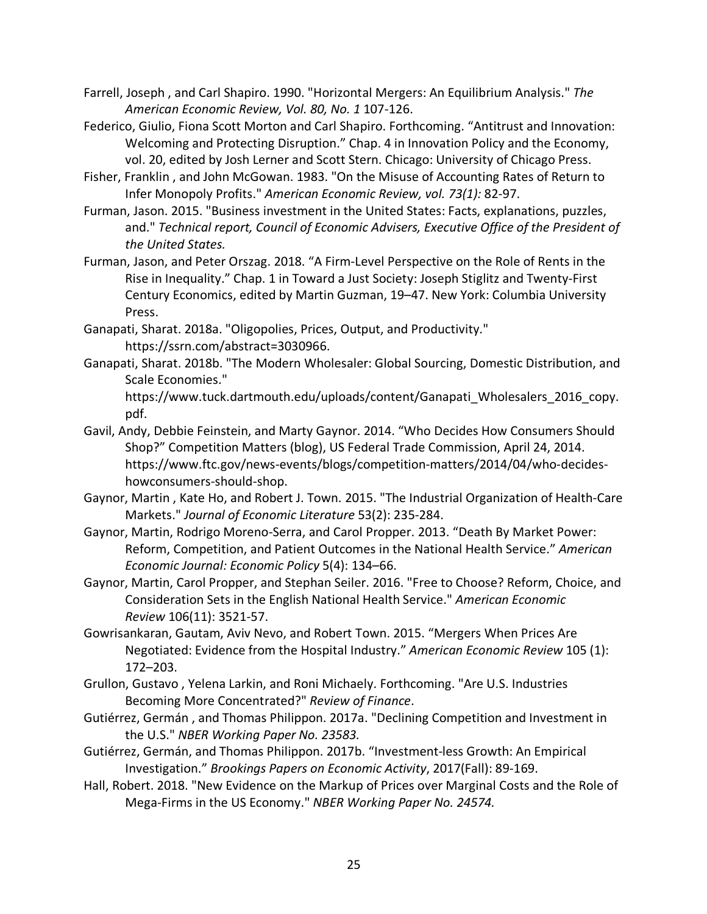- Farrell, Joseph , and Carl Shapiro. 1990. "Horizontal Mergers: An Equilibrium Analysis." *The American Economic Review, Vol. 80, No. 1* 107-126.
- Federico, Giulio, Fiona Scott Morton and Carl Shapiro. Forthcoming. "Antitrust and Innovation: Welcoming and Protecting Disruption." Chap. 4 in Innovation Policy and the Economy, vol. 20, edited by Josh Lerner and Scott Stern. Chicago: University of Chicago Press.
- Fisher, Franklin , and John McGowan. 1983. "On the Misuse of Accounting Rates of Return to Infer Monopoly Profits." *American Economic Review, vol. 73(1):* 82-97.
- Furman, Jason. 2015. "Business investment in the United States: Facts, explanations, puzzles, and." *Technical report, Council of Economic Advisers, Executive Office of the President of the United States.*
- Furman, Jason, and Peter Orszag. 2018. "A Firm-Level Perspective on the Role of Rents in the Rise in Inequality." Chap. 1 in Toward a Just Society: Joseph Stiglitz and Twenty-First Century Economics, edited by Martin Guzman, 19–47. New York: Columbia University Press.
- Ganapati, Sharat. 2018a. "Oligopolies, Prices, Output, and Productivity." https://ssrn.com/abstract=3030966.
- Ganapati, Sharat. 2018b. "The Modern Wholesaler: Global Sourcing, Domestic Distribution, and Scale Economies."

https://www.tuck.dartmouth.edu/uploads/content/Ganapati\_Wholesalers\_2016\_copy. pdf.

- Gavil, Andy, Debbie Feinstein, and Marty Gaynor. 2014. "Who Decides How Consumers Should Shop?" Competition Matters (blog), US Federal Trade Commission, April 24, 2014. https://www.ftc.gov/news-events/blogs/competition-matters/2014/04/who-decideshowconsumers-should-shop.
- Gaynor, Martin , Kate Ho, and Robert J. Town. 2015. "The Industrial Organization of Health-Care Markets." *Journal of Economic Literature* 53(2): 235-284.
- Gaynor, Martin, Rodrigo Moreno-Serra, and Carol Propper. 2013. "Death By Market Power: Reform, Competition, and Patient Outcomes in the National Health Service." *American Economic Journal: Economic Policy* 5(4): 134–66.
- Gaynor, Martin, Carol Propper, and Stephan Seiler. 2016. "Free to Choose? Reform, Choice, and Consideration Sets in the English National Health Service." *American Economic Review* 106(11): 3521-57.
- Gowrisankaran, Gautam, Aviv Nevo, and Robert Town. 2015. "Mergers When Prices Are Negotiated: Evidence from the Hospital Industry." *American Economic Review* 105 (1): 172–203.
- Grullon, Gustavo , Yelena Larkin, and Roni Michaely. Forthcoming. "Are U.S. Industries Becoming More Concentrated?" *Review of Finance*.
- Gutiérrez, Germán , and Thomas Philippon. 2017a. "Declining Competition and Investment in the U.S." *NBER Working Paper No. 23583.*
- Gutiérrez, Germán, and Thomas Philippon. 2017b. "Investment-less Growth: An Empirical Investigation." *Brookings Papers on Economic Activity*, 2017(Fall): 89-169.
- Hall, Robert. 2018. "New Evidence on the Markup of Prices over Marginal Costs and the Role of Mega-Firms in the US Economy." *NBER Working Paper No. 24574.*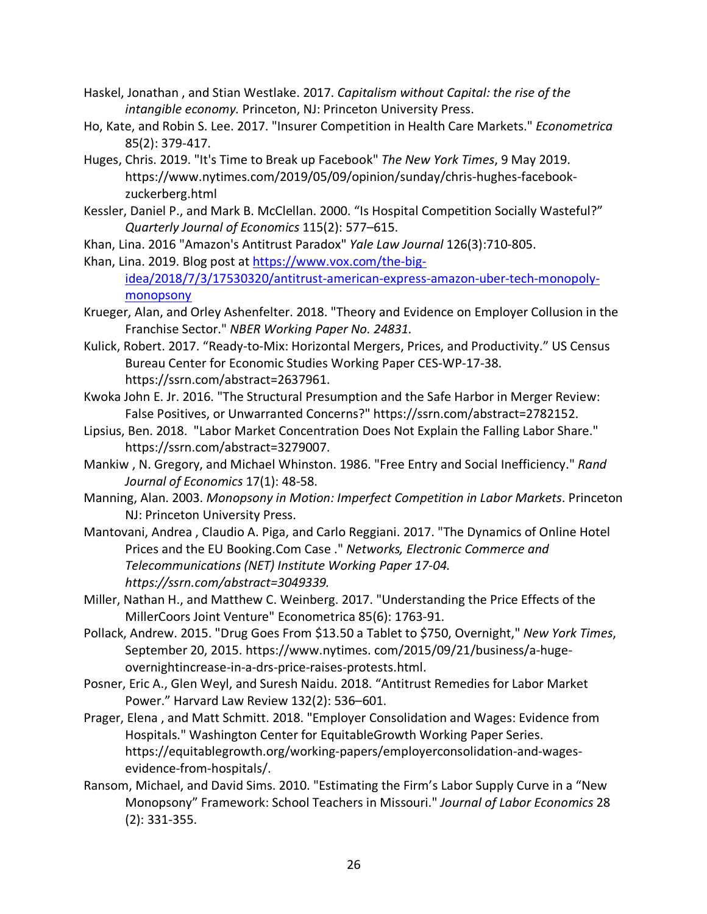- Haskel, Jonathan , and Stian Westlake. 2017. *Capitalism without Capital: the rise of the intangible economy.* Princeton, NJ: Princeton University Press.
- Ho, Kate, and Robin S. Lee. 2017. "Insurer Competition in Health Care Markets." *Econometrica* 85(2): 379-417.
- Huges, Chris. 2019. "It's Time to Break up Facebook" *The New York Times*, 9 May 2019. https://www.nytimes.com/2019/05/09/opinion/sunday/chris-hughes-facebookzuckerberg.html
- Kessler, Daniel P., and Mark B. McClellan. 2000. "Is Hospital Competition Socially Wasteful?" *Quarterly Journal of Economics* 115(2): 577–615.
- Khan, Lina. 2016 "Amazon's Antitrust Paradox" *Yale Law Journal* 126(3):710-805.
- Khan, Lina. 2019. Blog post at https://www.vox.com/the-bigidea/2018/7/3/17530320/antitrust-american-express-amazon-uber-tech-monopolymonopsony
- Krueger, Alan, and Orley Ashenfelter. 2018. "Theory and Evidence on Employer Collusion in the Franchise Sector." *NBER Working Paper No. 24831.*
- Kulick, Robert. 2017. "Ready-to-Mix: Horizontal Mergers, Prices, and Productivity." US Census Bureau Center for Economic Studies Working Paper CES-WP-17-38. https://ssrn.com/abstract=2637961.
- Kwoka John E. Jr. 2016. "The Structural Presumption and the Safe Harbor in Merger Review: False Positives, or Unwarranted Concerns?" https://ssrn.com/abstract=2782152.
- Lipsius, Ben. 2018. "Labor Market Concentration Does Not Explain the Falling Labor Share." https://ssrn.com/abstract=3279007.
- Mankiw , N. Gregory, and Michael Whinston. 1986. "Free Entry and Social Inefficiency." *Rand Journal of Economics* 17(1): 48-58.
- Manning, Alan. 2003. *Monopsony in Motion: Imperfect Competition in Labor Markets*. Princeton NJ: Princeton University Press.
- Mantovani, Andrea , Claudio A. Piga, and Carlo Reggiani. 2017. "The Dynamics of Online Hotel Prices and the EU Booking.Com Case ." *Networks, Electronic Commerce and Telecommunications (NET) Institute Working Paper 17-04. https://ssrn.com/abstract=3049339.*
- Miller, Nathan H., and Matthew C. Weinberg. 2017. "Understanding the Price Effects of the MillerCoors Joint Venture" Econometrica 85(6): 1763-91.
- Pollack, Andrew. 2015. "Drug Goes From \$13.50 a Tablet to \$750, Overnight," *New York Times*, September 20, 2015. https://www.nytimes. com/2015/09/21/business/a-hugeovernightincrease-in-a-drs-price-raises-protests.html.
- Posner, Eric A., Glen Weyl, and Suresh Naidu. 2018. "Antitrust Remedies for Labor Market Power." Harvard Law Review 132(2): 536–601.
- Prager, Elena , and Matt Schmitt. 2018. "Employer Consolidation and Wages: Evidence from Hospitals." Washington Center for EquitableGrowth Working Paper Series. https://equitablegrowth.org/working-papers/employerconsolidation-and-wagesevidence-from-hospitals/.
- Ransom, Michael, and David Sims. 2010. "Estimating the Firm's Labor Supply Curve in a "New Monopsony" Framework: School Teachers in Missouri." *Journal of Labor Economics* 28 (2): 331-355.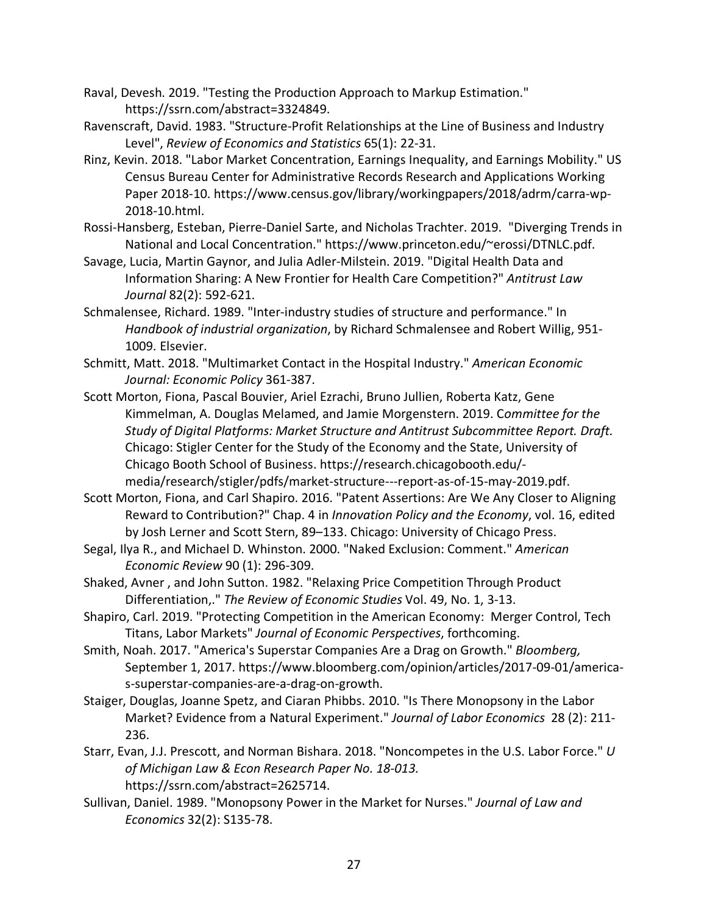Raval, Devesh. 2019. "Testing the Production Approach to Markup Estimation." https://ssrn.com/abstract=3324849.

Ravenscraft, David. 1983. "Structure-Profit Relationships at the Line of Business and Industry Level", *Review of Economics and Statistics* 65(1): 22-31.

- Rinz, Kevin. 2018. "Labor Market Concentration, Earnings Inequality, and Earnings Mobility." US Census Bureau Center for Administrative Records Research and Applications Working Paper 2018-10. https://www.census.gov/library/workingpapers/2018/adrm/carra-wp-2018-10.html.
- Rossi-Hansberg, Esteban, Pierre-Daniel Sarte, and Nicholas Trachter. 2019. "Diverging Trends in National and Local Concentration." https://www.princeton.edu/~erossi/DTNLC.pdf.
- Savage, Lucia, Martin Gaynor, and Julia Adler-Milstein. 2019. "Digital Health Data and Information Sharing: A New Frontier for Health Care Competition?" *Antitrust Law Journal* 82(2): 592-621.
- Schmalensee, Richard. 1989. "Inter-industry studies of structure and performance." In *Handbook of industrial organization*, by Richard Schmalensee and Robert Willig, 951- 1009. Elsevier.
- Schmitt, Matt. 2018. "Multimarket Contact in the Hospital Industry." *American Economic Journal: Economic Policy* 361-387.
- Scott Morton, Fiona, Pascal Bouvier, Ariel Ezrachi, Bruno Jullien, Roberta Katz, Gene Kimmelman, A. Douglas Melamed, and Jamie Morgenstern. 2019. C*ommittee for the Study of Digital Platforms: Market Structure and Antitrust Subcommittee Report. Draft.*  Chicago: Stigler Center for the Study of the Economy and the State, University of Chicago Booth School of Business. https://research.chicagobooth.edu/ media/research/stigler/pdfs/market-structure---report-as-of-15-may-2019.pdf.
- Scott Morton, Fiona, and Carl Shapiro. 2016. "Patent Assertions: Are We Any Closer to Aligning Reward to Contribution?" Chap. 4 in *Innovation Policy and the Economy*, vol. 16, edited by Josh Lerner and Scott Stern, 89–133. Chicago: University of Chicago Press.
- Segal, Ilya R., and Michael D. Whinston. 2000. "Naked Exclusion: Comment." *American Economic Review* 90 (1): 296-309.
- Shaked, Avner , and John Sutton. 1982. "Relaxing Price Competition Through Product Differentiation,." *The Review of Economic Studies* Vol. 49, No. 1, 3-13.
- Shapiro, Carl. 2019. "Protecting Competition in the American Economy: Merger Control, Tech Titans, Labor Markets" *Journal of Economic Perspectives*, forthcoming.
- Smith, Noah. 2017. "America's Superstar Companies Are a Drag on Growth." *Bloomberg,*  September 1, 2017. https://www.bloomberg.com/opinion/articles/2017-09-01/americas-superstar-companies-are-a-drag-on-growth.
- Staiger, Douglas, Joanne Spetz, and Ciaran Phibbs. 2010. "Is There Monopsony in the Labor Market? Evidence from a Natural Experiment." *Journal of Labor Economics* 28 (2): 211- 236.
- Starr, Evan, J.J. Prescott, and Norman Bishara. 2018. "Noncompetes in the U.S. Labor Force." *U of Michigan Law & Econ Research Paper No. 18-013.* https://ssrn.com/abstract=2625714.
- Sullivan, Daniel. 1989. "Monopsony Power in the Market for Nurses." *Journal of Law and Economics* 32(2): S135-78.